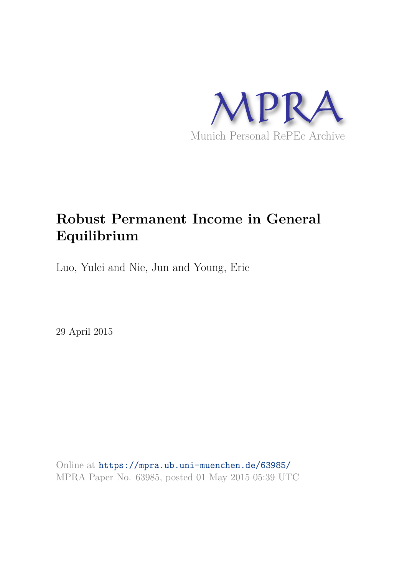

# **Robust Permanent Income in General Equilibrium**

Luo, Yulei and Nie, Jun and Young, Eric

29 April 2015

Online at https://mpra.ub.uni-muenchen.de/63985/ MPRA Paper No. 63985, posted 01 May 2015 05:39 UTC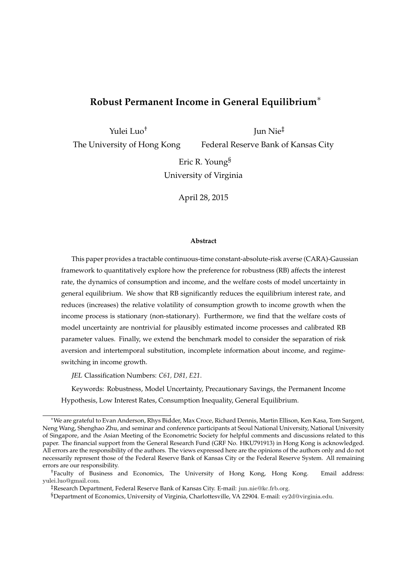## **Robust Permanent Income in General Equilibrium**∗

Yulei Luo†

Jun Nie‡

The University of Hong Kong

Federal Reserve Bank of Kansas City

Eric R. Young§ University of Virginia

April 28, 2015

#### **Abstract**

This paper provides a tractable continuous-time constant-absolute-risk averse (CARA)-Gaussian framework to quantitatively explore how the preference for robustness (RB) affects the interest rate, the dynamics of consumption and income, and the welfare costs of model uncertainty in general equilibrium. We show that RB significantly reduces the equilibrium interest rate, and reduces (increases) the relative volatility of consumption growth to income growth when the income process is stationary (non-stationary). Furthermore, we find that the welfare costs of model uncertainty are nontrivial for plausibly estimated income processes and calibrated RB parameter values. Finally, we extend the benchmark model to consider the separation of risk aversion and intertemporal substitution, incomplete information about income, and regimeswitching in income growth.

JEL Classification Numbers: *C61, D81, E21*.

Keywords: Robustness, Model Uncertainty, Precautionary Savings, the Permanent Income Hypothesis, Low Interest Rates, Consumption Inequality, General Equilibrium.

<sup>∗</sup>We are grateful to Evan Anderson, Rhys Bidder, Max Croce, Richard Dennis, Martin Ellison, Ken Kasa, Tom Sargent, Neng Wang, Shenghao Zhu, and seminar and conference participants at Seoul National University, National University of Singapore, and the Asian Meeting of the Econometric Society for helpful comments and discussions related to this paper. The financial support from the General Research Fund (GRF No. HKU791913) in Hong Kong is acknowledged. All errors are the responsibility of the authors. The views expressed here are the opinions of the authors only and do not necessarily represent those of the Federal Reserve Bank of Kansas City or the Federal Reserve System. All remaining errors are our responsibility.

<sup>†</sup>Faculty of Business and Economics, The University of Hong Kong, Hong Kong. Email address: yulei.luo@gmail.com.

<sup>‡</sup>Research Department, Federal Reserve Bank of Kansas City. E-mail: jun.nie@kc.frb.org.

<sup>§</sup>Department of Economics, University of Virginia, Charlottesville, VA 22904. E-mail: ey2d@virginia.edu.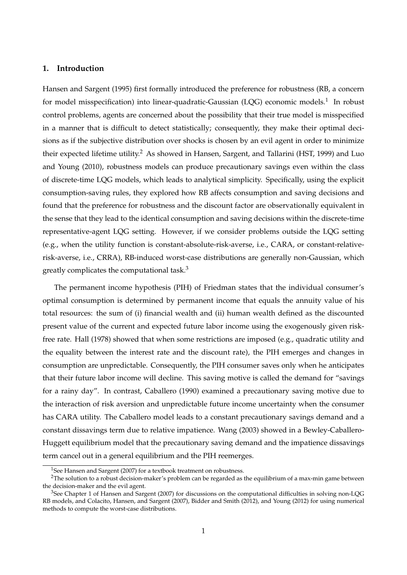## **1. Introduction**

Hansen and Sargent (1995) first formally introduced the preference for robustness (RB, a concern for model misspecification) into linear-quadratic-Gaussian (LQG) economic models.<sup>1</sup> In robust control problems, agents are concerned about the possibility that their true model is misspecified in a manner that is difficult to detect statistically; consequently, they make their optimal decisions as if the subjective distribution over shocks is chosen by an evil agent in order to minimize their expected lifetime utility.<sup>2</sup> As showed in Hansen, Sargent, and Tallarini (HST, 1999) and Luo and Young (2010), robustness models can produce precautionary savings even within the class of discrete-time LQG models, which leads to analytical simplicity. Specifically, using the explicit consumption-saving rules, they explored how RB affects consumption and saving decisions and found that the preference for robustness and the discount factor are observationally equivalent in the sense that they lead to the identical consumption and saving decisions within the discrete-time representative-agent LQG setting. However, if we consider problems outside the LQG setting (e.g., when the utility function is constant-absolute-risk-averse, i.e., CARA, or constant-relativerisk-averse, i.e., CRRA), RB-induced worst-case distributions are generally non-Gaussian, which greatly complicates the computational task.<sup>3</sup>

The permanent income hypothesis (PIH) of Friedman states that the individual consumer's optimal consumption is determined by permanent income that equals the annuity value of his total resources: the sum of (i) financial wealth and (ii) human wealth defined as the discounted present value of the current and expected future labor income using the exogenously given riskfree rate. Hall (1978) showed that when some restrictions are imposed (e.g., quadratic utility and the equality between the interest rate and the discount rate), the PIH emerges and changes in consumption are unpredictable. Consequently, the PIH consumer saves only when he anticipates that their future labor income will decline. This saving motive is called the demand for "savings for a rainy day". In contrast, Caballero (1990) examined a precautionary saving motive due to the interaction of risk aversion and unpredictable future income uncertainty when the consumer has CARA utility. The Caballero model leads to a constant precautionary savings demand and a constant dissavings term due to relative impatience. Wang (2003) showed in a Bewley-Caballero-Huggett equilibrium model that the precautionary saving demand and the impatience dissavings term cancel out in a general equilibrium and the PIH reemerges.

<sup>&</sup>lt;sup>1</sup>See Hansen and Sargent (2007) for a textbook treatment on robustness.

<sup>&</sup>lt;sup>2</sup>The solution to a robust decision-maker's problem can be regarded as the equilibrium of a max-min game between the decision-maker and the evil agent.

 $3$ See Chapter 1 of Hansen and Sargent (2007) for discussions on the computational difficulties in solving non-LQG RB models, and Colacito, Hansen, and Sargent (2007), Bidder and Smith (2012), and Young (2012) for using numerical methods to compute the worst-case distributions.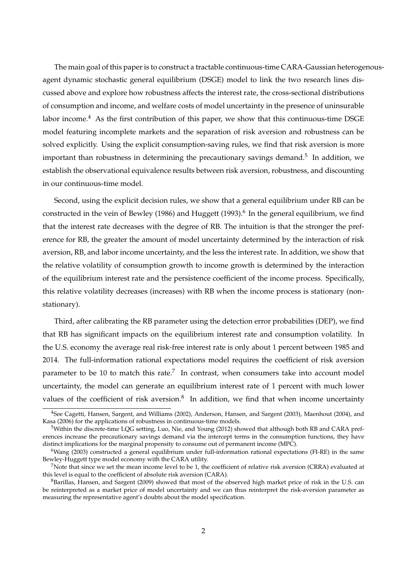The main goal of this paper is to construct a tractable continuous-time CARA-Gaussian heterogenousagent dynamic stochastic general equilibrium (DSGE) model to link the two research lines discussed above and explore how robustness affects the interest rate, the cross-sectional distributions of consumption and income, and welfare costs of model uncertainty in the presence of uninsurable labor income.<sup>4</sup> As the first contribution of this paper, we show that this continuous-time DSGE model featuring incomplete markets and the separation of risk aversion and robustness can be solved explicitly. Using the explicit consumption-saving rules, we find that risk aversion is more important than robustness in determining the precautionary savings demand.<sup>5</sup> In addition, we establish the observational equivalence results between risk aversion, robustness, and discounting in our continuous-time model.

Second, using the explicit decision rules, we show that a general equilibrium under RB can be constructed in the vein of Bewley (1986) and Huggett (1993). $^6$  In the general equilibrium, we find that the interest rate decreases with the degree of RB. The intuition is that the stronger the preference for RB, the greater the amount of model uncertainty determined by the interaction of risk aversion, RB, and labor income uncertainty, and the less the interest rate. In addition, we show that the relative volatility of consumption growth to income growth is determined by the interaction of the equilibrium interest rate and the persistence coefficient of the income process. Specifically, this relative volatility decreases (increases) with RB when the income process is stationary (nonstationary).

Third, after calibrating the RB parameter using the detection error probabilities (DEP), we find that RB has significant impacts on the equilibrium interest rate and consumption volatility. In the U.S. economy the average real risk-free interest rate is only about 1 percent between 1985 and 2014. The full-information rational expectations model requires the coefficient of risk aversion parameter to be 10 to match this rate.<sup>7</sup> In contrast, when consumers take into account model uncertainty, the model can generate an equilibrium interest rate of 1 percent with much lower values of the coefficient of risk aversion. $8$  In addition, we find that when income uncertainty

<sup>4</sup>See Cagetti, Hansen, Sargent, and Williams (2002), Anderson, Hansen, and Sargent (2003), Maenhout (2004), and Kasa (2006) for the applications of robustness in continuous-time models.

<sup>5</sup>Within the discrete-time LQG setting, Luo, Nie, and Young (2012) showed that although both RB and CARA preferences increase the precautionary savings demand via the intercept terms in the consumption functions, they have distinct implications for the marginal propensity to consume out of permanent income (MPC).

<sup>6</sup>Wang (2003) constructed a general equilibrium under full-information rational expectations (FI-RE) in the same Bewley-Huggett type model economy with the CARA utility.

<sup>7</sup>Note that since we set the mean income level to be 1, the coefficient of relative risk aversion (CRRA) evaluated at this level is equal to the coefficient of absolute risk aversion (CARA).

<sup>8</sup>Barillas, Hansen, and Sargent (2009) showed that most of the observed high market price of risk in the U.S. can be reinterpreted as a market price of model uncertainty and we can thus reinterpret the risk-aversion parameter as measuring the representative agent's doubts about the model specification.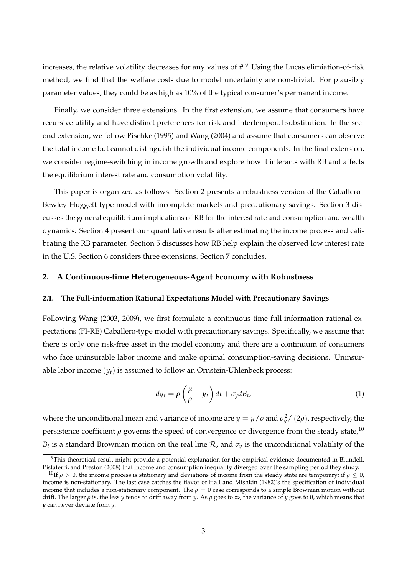increases, the relative volatility decreases for any values of *ϑ*. <sup>9</sup> Using the Lucas elimiation-of-risk method, we find that the welfare costs due to model uncertainty are non-trivial. For plausibly parameter values, they could be as high as 10% of the typical consumer's permanent income.

Finally, we consider three extensions. In the first extension, we assume that consumers have recursive utility and have distinct preferences for risk and intertemporal substitution. In the second extension, we follow Pischke (1995) and Wang (2004) and assume that consumers can observe the total income but cannot distinguish the individual income components. In the final extension, we consider regime-switching in income growth and explore how it interacts with RB and affects the equilibrium interest rate and consumption volatility.

This paper is organized as follows. Section 2 presents a robustness version of the Caballero– Bewley-Huggett type model with incomplete markets and precautionary savings. Section 3 discusses the general equilibrium implications of RB for the interest rate and consumption and wealth dynamics. Section 4 present our quantitative results after estimating the income process and calibrating the RB parameter. Section 5 discusses how RB help explain the observed low interest rate in the U.S. Section 6 considers three extensions. Section 7 concludes.

## **2. A Continuous-time Heterogeneous-Agent Economy with Robustness**

#### **2.1. The Full-information Rational Expectations Model with Precautionary Savings**

Following Wang (2003, 2009), we first formulate a continuous-time full-information rational expectations (FI-RE) Caballero-type model with precautionary savings. Specifically, we assume that there is only one risk-free asset in the model economy and there are a continuum of consumers who face uninsurable labor income and make optimal consumption-saving decisions. Uninsurable labor income  $(y_t)$  is assumed to follow an Ornstein-Uhlenbeck process:

$$
dy_t = \rho \left(\frac{\mu}{\rho} - y_t\right) dt + \sigma_y dB_t, \tag{1}
$$

where the unconditional mean and variance of income are  $\bar{y} = \mu/\rho$  and  $\sigma_y^2$ / (2 $\rho$ ), respectively, the persistence coefficient  $\rho$  governs the speed of convergence or divergence from the steady state,<sup>10</sup>  $B_t$  is a standard Brownian motion on the real line  $\mathcal R$ , and  $\sigma_y$  is the unconditional volatility of the

 $9$ This theoretical result might provide a potential explanation for the empirical evidence documented in Blundell, Pistaferri, and Preston (2008) that income and consumption inequality diverged over the sampling period they study.

<sup>&</sup>lt;sup>10</sup>If  $\rho > 0$ , the income process is stationary and deviations of income from the steady state are temporary; if  $\rho \le 0$ , income is non-stationary. The last case catches the flavor of Hall and Mishkin (1982)'s the specification of individual income that includes a non-stationary component. The  $\rho = 0$  case corresponds to a simple Brownian motion without drift. The larger *ρ* is, the less *y* tends to drift away from  $\overline{y}$ . As *ρ* goes to  $\infty$ , the variance of *y* goes to 0, which means that *y* can never deviate from *y*.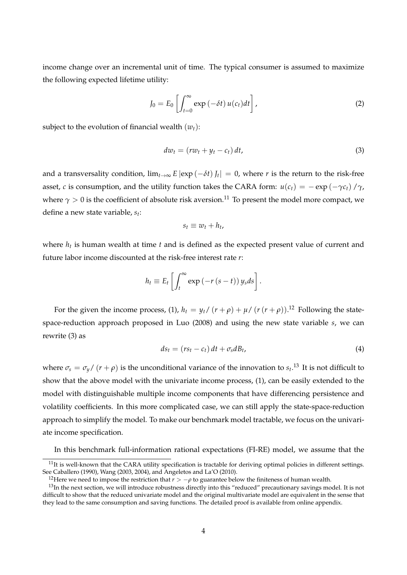income change over an incremental unit of time. The typical consumer is assumed to maximize the following expected lifetime utility:

$$
J_0 = E_0 \left[ \int_{t=0}^{\infty} \exp \left( -\delta t \right) u(c_t) dt \right],
$$
 (2)

subject to the evolution of financial wealth  $(w_t)$ :

$$
dw_t = (rw_t + y_t - c_t) dt,
$$
\n(3)

and a transversality condition,  $\lim_{t\to\infty} E[\exp(-\delta t)]_t$  = 0, where *r* is the return to the risk-free asset, *c* is consumption, and the utility function takes the CARA form:  $u(c_t) = -\exp(-\gamma c_t)/\gamma$ , where  $\gamma > 0$  is the coefficient of absolute risk aversion.<sup>11</sup> To present the model more compact, we define a new state variable, *s<sup>t</sup>* :

$$
s_t \equiv w_t + h_t,
$$

where *h<sup>t</sup>* is human wealth at time *t* and is defined as the expected present value of current and future labor income discounted at the risk-free interest rate *r*:

$$
h_t \equiv E_t \left[ \int_t^{\infty} \exp \left( -r \left( s-t \right) \right) y_s ds \right].
$$

For the given the income process, (1),  $h_t = y_t / (r + \rho) + \mu / (r (r + \rho))$ .<sup>12</sup> Following the statespace-reduction approach proposed in Luo (2008) and using the new state variable *s*, we can rewrite (3) as

$$
ds_t = (rs_t - c_t) dt + \sigma_s dB_t, \qquad (4)
$$

where  $\sigma_s = \sigma_y/ (r + \rho)$  is the unconditional variance of the innovation to  $s_t$ .<sup>13</sup> It is not difficult to show that the above model with the univariate income process, (1), can be easily extended to the model with distinguishable multiple income components that have differencing persistence and volatility coefficients. In this more complicated case, we can still apply the state-space-reduction approach to simplify the model. To make our benchmark model tractable, we focus on the univariate income specification.

In this benchmark full-information rational expectations (FI-RE) model, we assume that the

 $11$ It is well-known that the CARA utility specification is tractable for deriving optimal policies in different settings. See Caballero (1990), Wang (2003, 2004), and Angeletos and La'O (2010).

<sup>&</sup>lt;sup>12</sup>Here we need to impose the restriction that  $r > -\rho$  to guarantee below the finiteness of human wealth.

<sup>&</sup>lt;sup>13</sup>In the next section, we will introduce robustness directly into this "reduced" precautionary savings model. It is not difficult to show that the reduced univariate model and the original multivariate model are equivalent in the sense that they lead to the same consumption and saving functions. The detailed proof is available from online appendix.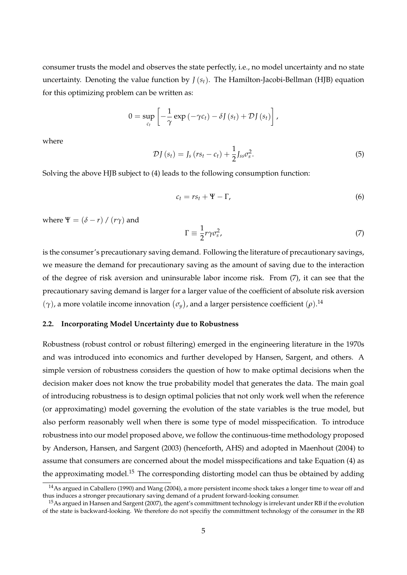consumer trusts the model and observes the state perfectly, i.e., no model uncertainty and no state uncertainty. Denoting the value function by  $J(s_t)$ . The Hamilton-Jacobi-Bellman (HJB) equation for this optimizing problem can be written as:

$$
0 = \sup_{c_t} \left[ -\frac{1}{\gamma} \exp \left( -\gamma c_t \right) - \delta J \left( s_t \right) + \mathcal{D} J \left( s_t \right) \right],
$$

where

$$
\mathcal{D}J\left(s_{t}\right)=J_{s}\left(rs_{t}-c_{t}\right)+\frac{1}{2}J_{ss}\sigma_{s}^{2}.\tag{5}
$$

Solving the above HJB subject to (4) leads to the following consumption function:

$$
c_t = rs_t + \Psi - \Gamma,\tag{6}
$$

where  $\Psi = (\delta - r) / (r\gamma)$  and

$$
\Gamma \equiv \frac{1}{2} r \gamma \sigma_s^2,\tag{7}
$$

is the consumer's precautionary saving demand. Following the literature of precautionary savings, we measure the demand for precautionary saving as the amount of saving due to the interaction of the degree of risk aversion and uninsurable labor income risk. From (7), it can see that the precautionary saving demand is larger for a larger value of the coefficient of absolute risk aversion  $(γ)$ , a more volatile income innovation  $(σ<sub>y</sub>)$ , and a larger persistence coefficient  $(ρ)$ .<sup>14</sup>

## **2.2. Incorporating Model Uncertainty due to Robustness**

Robustness (robust control or robust filtering) emerged in the engineering literature in the 1970s and was introduced into economics and further developed by Hansen, Sargent, and others. A simple version of robustness considers the question of how to make optimal decisions when the decision maker does not know the true probability model that generates the data. The main goal of introducing robustness is to design optimal policies that not only work well when the reference (or approximating) model governing the evolution of the state variables is the true model, but also perform reasonably well when there is some type of model misspecification. To introduce robustness into our model proposed above, we follow the continuous-time methodology proposed by Anderson, Hansen, and Sargent (2003) (henceforth, AHS) and adopted in Maenhout (2004) to assume that consumers are concerned about the model misspecifications and take Equation (4) as the approximating model.<sup>15</sup> The corresponding distorting model can thus be obtained by adding

<sup>&</sup>lt;sup>14</sup>As argued in Caballero (1990) and Wang (2004), a more persistent income shock takes a longer time to wear off and thus induces a stronger precautionary saving demand of a prudent forward-looking consumer.

<sup>&</sup>lt;sup>15</sup>As argued in Hansen and Sargent (2007), the agent's committment technology is irrelevant under RB if the evolution of the state is backward-looking. We therefore do not specifiy the committment technology of the consumer in the RB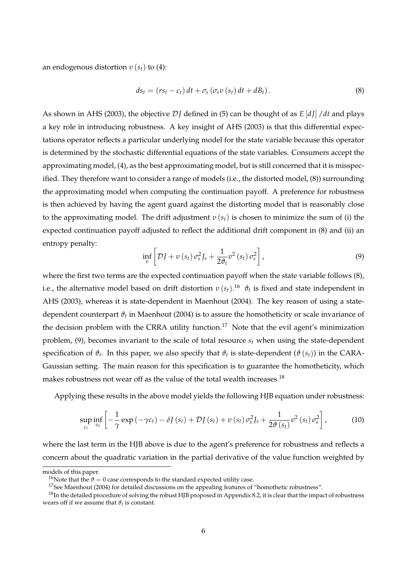an endogenous distortion *υ* (*st*) to (4):

$$
ds_t = (rs_t - c_t) dt + \sigma_s (\sigma_s v (s_t) dt + dB_t).
$$
 (8)

As shown in AHS (2003), the objective D*J* defined in (5) can be thought of as *E* [*d J*] /*dt* and plays a key role in introducing robustness. A key insight of AHS (2003) is that this differential expectations operator reflects a particular underlying model for the state variable because this operator is determined by the stochastic differential equations of the state variables. Consumers accept the approximating model, (4), as the best approximating model, but is still concerned that it is misspecified. They therefore want to consider a range of models (i.e., the distorted model, (8)) surrounding the approximating model when computing the continuation payoff. A preference for robustness is then achieved by having the agent guard against the distorting model that is reasonably close to the approximating model. The drift adjustment *υ* (*st*) is chosen to minimize the sum of (i) the expected continuation payoff adjusted to reflect the additional drift component in (8) and (ii) an entropy penalty:

$$
\inf_{v} \left[ \mathcal{D}J + v\left(s_{t}\right) \sigma_{s}^{2} J_{s} + \frac{1}{2 \vartheta_{t}} v^{2}\left(s_{t}\right) \sigma_{s}^{2} \right], \tag{9}
$$

where the first two terms are the expected continuation payoff when the state variable follows (8), i.e., the alternative model based on drift distortion *υ* (*st*). <sup>16</sup> *ϑ<sup>t</sup>* is fixed and state independent in AHS (2003), whereas it is state-dependent in Maenhout (2004). The key reason of using a statedependent counterpart *ϑ<sup>t</sup>* in Maenhout (2004) is to assure the homotheticity or scale invariance of the decision problem with the CRRA utility function.<sup>17</sup> Note that the evil agent's minimization problem, (9), becomes invariant to the scale of total resource *s<sup>t</sup>* when using the state-dependent specification of  $\vartheta_t$ . In this paper, we also specify that  $\vartheta_t$  is state-dependent  $(\vartheta\left(s_{t}\right))$  in the CARA-Gaussian setting. The main reason for this specification is to guarantee the homotheticity, which makes robustness not wear off as the value of the total wealth increases.<sup>18</sup>

Applying these results in the above model yields the following HJB equation under robustness:

$$
\sup_{c_t} \inf_{v_t} \left[ -\frac{1}{\gamma} \exp\left(-\gamma c_t\right) - \delta J\left(s_t\right) + \mathcal{D} J\left(s_t\right) + v\left(s_t\right) \sigma_s^2 J_s + \frac{1}{2\vartheta\left(s_t\right)} v^2\left(s_t\right) \sigma_s^2 \right],\tag{10}
$$

where the last term in the HJB above is due to the agent's preference for robustness and reflects a concern about the quadratic variation in the partial derivative of the value function weighted by

models of this paper.

<sup>&</sup>lt;sup>16</sup>Note that the  $\vartheta = 0$  case corresponds to the standard expected utility case.

<sup>&</sup>lt;sup>17</sup>See Maenhout (2004) for detailed discussions on the appealing features of "homothetic robustness".

 $18$ In the detailed procedure of solving the robust HJB proposed in Appendix 8.2, it is clear that the impact of robustness wears off if we assume that  $\vartheta_t$  is constant.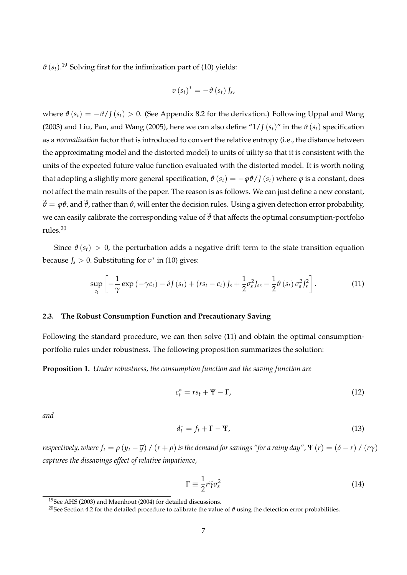$\vartheta$  ( $s_t$ ).<sup>19</sup> Solving first for the infimization part of (10) yields:

$$
v\left(s_{t}\right)^{*}=-\vartheta\left(s_{t}\right)J_{s},
$$

where  $\vartheta$  ( $s_t$ ) =  $-\vartheta$ /*J* ( $s_t$ ) > 0. (See Appendix 8.2 for the derivation.) Following Uppal and Wang (2003) and Liu, Pan, and Wang (2005), here we can also define " $1/J(s_t)$ " in the  $\vartheta(s_t)$  specification as a *normalization* factor that is introduced to convert the relative entropy (i.e., the distance between the approximating model and the distorted model) to units of uility so that it is consistent with the units of the expected future value function evaluated with the distorted model. It is worth noting that adopting a slightly more general specification,  $\vartheta(s_t) = -\varphi \vartheta / J(s_t)$  where  $\varphi$  is a constant, does not affect the main results of the paper. The reason is as follows. We can just define a new constant,  $\widetilde{\theta} = \varphi \vartheta$ , and  $\widetilde{\vartheta}$ , rather than  $\vartheta$ , will enter the decision rules. Using a given detection error probability, we can easily calibrate the corresponding value of  $\tilde{\theta}$  that affects the optimal consumption-portfolio rules.<sup>20</sup>

Since  $\vartheta(s_t) > 0$ , the perturbation adds a negative drift term to the state transition equation because *J<sup>s</sup>* > 0. Substituting for *υ* ∗ in (10) gives:

$$
\sup_{c_t} \left[ -\frac{1}{\gamma} \exp\left(-\gamma c_t\right) - \delta J\left(s_t\right) + \left(rs_t - c_t\right)J_s + \frac{1}{2}\sigma_s^2 J_{ss} - \frac{1}{2}\vartheta\left(s_t\right)\sigma_s^2 J_s^2 \right]. \tag{11}
$$

## **2.3. The Robust Consumption Function and Precautionary Saving**

Following the standard procedure, we can then solve (11) and obtain the optimal consumptionportfolio rules under robustness. The following proposition summarizes the solution:

**Proposition 1.** *Under robustness, the consumption function and the saving function are*

$$
c_t^* = rs_t + \Psi - \Gamma, \qquad (12)
$$

*and*

$$
d_t^* = f_t + \Gamma - \Psi,\tag{13}
$$

*respectively, where*  $f_t = \rho (y_t - \overline{y}) / (r + \rho)$  *is the demand for savings "for a rainy day",*  $\Psi (r) = (\delta - r) / (r\gamma)$ *captures the dissavings effect of relative impatience,*

$$
\Gamma \equiv \frac{1}{2} r \tilde{\gamma} \sigma_s^2 \tag{14}
$$

<sup>19</sup>See AHS (2003) and Maenhout (2004) for detailed discussions.

<sup>&</sup>lt;sup>20</sup>See Section 4.2 for the detailed procedure to calibrate the value of  $\vartheta$  using the detection error probabilities.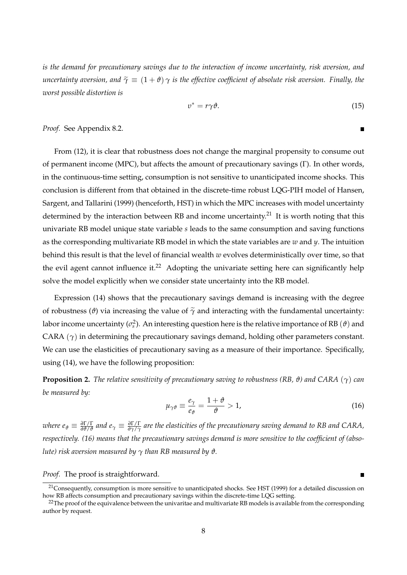*is the demand for precautionary savings due to the interaction of income uncertainty, risk aversion, and uncertainty aversion, and*  $\tilde{\gamma} \equiv (1 + \vartheta) \gamma$  *is the effective coefficient of absolute risk aversion. Finally, the worst possible distortion is*

$$
v^* = r\gamma \vartheta. \tag{15}
$$

 $\blacksquare$ 

*Proof.* See Appendix 8.2.

From (12), it is clear that robustness does not change the marginal propensity to consume out of permanent income (MPC), but affects the amount of precautionary savings (Γ). In other words, in the continuous-time setting, consumption is not sensitive to unanticipated income shocks. This conclusion is different from that obtained in the discrete-time robust LQG-PIH model of Hansen, Sargent, and Tallarini (1999) (henceforth, HST) in which the MPC increases with model uncertainty determined by the interaction between RB and income uncertainty.<sup>21</sup> It is worth noting that this univariate RB model unique state variable *s* leads to the same consumption and saving functions as the corresponding multivariate RB model in which the state variables are *w* and *y*. The intuition behind this result is that the level of financial wealth *w* evolves deterministically over time, so that the evil agent cannot influence it.<sup>22</sup> Adopting the univariate setting here can significantly help solve the model explicitly when we consider state uncertainty into the RB model.

Expression (14) shows that the precautionary savings demand is increasing with the degree of robustness ( $\vartheta$ ) via increasing the value of  $\tilde{\gamma}$  and interacting with the fundamental uncertainty: labor income uncertainty ( $\sigma_s^2$ ). An interesting question here is the relative importance of RB  $(\vartheta)$  and CARA  $(\gamma)$  in determining the precautionary savings demand, holding other parameters constant. We can use the elasticities of precautionary saving as a measure of their importance. Specifically, using (14), we have the following proposition:

**Proposition 2.** *The relative sensitivity of precautionary saving to robustness (RB, ϑ) and CARA* (*γ*) *can be measured by:*

$$
\mu_{\gamma\vartheta} \equiv \frac{e_{\gamma}}{e_{\vartheta}} = \frac{1+\vartheta}{\vartheta} > 1, \tag{16}
$$

where  $e_\vartheta\equiv\frac{\partial\Gamma/\Gamma}{\partial\vartheta/\vartheta}$  and  $e_\gamma\equiv\frac{\partial\Gamma/\Gamma}{\partial\gamma/\gamma}$  are the elasticities of the precautionary saving demand to RB and CARA, *respectively. (16) means that the precautionary savings demand is more sensitive to the coefficient of (absolute)* risk aversion measured by  $\gamma$  *than RB measured by*  $\vartheta$ *.* 

*Proof.* The proof is straightforward.

<sup>&</sup>lt;sup>21</sup>Consequently, consumption is more sensitive to unanticipated shocks. See HST (1999) for a detailed discussion on how RB affects consumption and precautionary savings within the discrete-time LQG setting.

<sup>&</sup>lt;sup>22</sup>The proof of the equivalence between the univaritae and multivariate RB models is available from the corresponding author by request.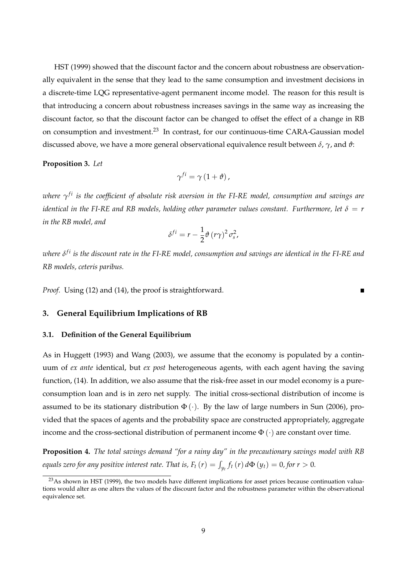HST (1999) showed that the discount factor and the concern about robustness are observationally equivalent in the sense that they lead to the same consumption and investment decisions in a discrete-time LQG representative-agent permanent income model. The reason for this result is that introducing a concern about robustness increases savings in the same way as increasing the discount factor, so that the discount factor can be changed to offset the effect of a change in RB on consumption and investment.<sup>23</sup> In contrast, for our continuous-time CARA-Gaussian model discussed above, we have a more general observational equivalence result between *δ*, *γ*, and *ϑ*:

#### **Proposition 3.** *Let*

$$
\gamma^{fi} = \gamma (1 + \vartheta) ,
$$

*where γ f i is the coefficient of absolute risk aversion in the FI-RE model, consumption and savings are identical in the FI-RE and RB models, holding other parameter values constant. Furthermore, let*  $\delta = r$ *in the RB model, and*

$$
\delta^{fi} = r - \frac{1}{2} \vartheta (r \gamma)^2 \sigma_s^2,
$$

*where δ f i is the discount rate in the FI-RE model, consumption and savings are identical in the FI-RE and RB models, ceteris paribus.*

 $\blacksquare$ 

*Proof.* Using (12) and (14), the proof is straightforward.

## **3. General Equilibrium Implications of RB**

## **3.1. Definition of the General Equilibrium**

As in Huggett (1993) and Wang (2003), we assume that the economy is populated by a continuum of *ex ante* identical, but *ex post* heterogeneous agents, with each agent having the saving function, (14). In addition, we also assume that the risk-free asset in our model economy is a pureconsumption loan and is in zero net supply. The initial cross-sectional distribution of income is assumed to be its stationary distribution  $\Phi(\cdot)$ . By the law of large numbers in Sun (2006), provided that the spaces of agents and the probability space are constructed appropriately, aggregate income and the cross-sectional distribution of permanent income  $\Phi(\cdot)$  are constant over time.

**Proposition 4.** *The total savings demand "for a rainy day" in the precautionary savings model with RB equals zero for any positive interest rate. That is,*  $F_t$  $(r) = \int_{y_t} f_t(r) d\Phi(y_t) = 0$ *, for*  $r > 0$ *.* 

<sup>&</sup>lt;sup>23</sup>As shown in HST (1999), the two models have different implications for asset prices because continuation valuations would alter as one alters the values of the discount factor and the robustness parameter within the observational equivalence set.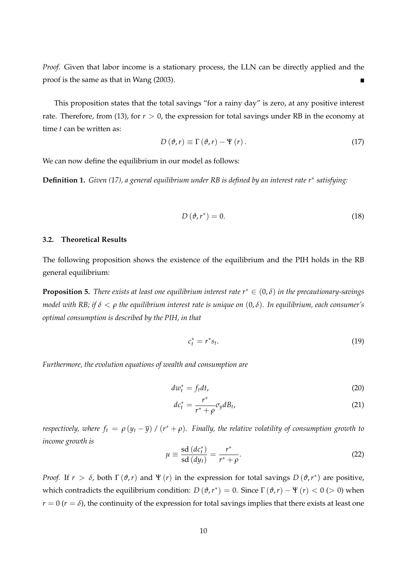*Proof.* Given that labor income is a stationary process, the LLN can be directly applied and the proof is the same as that in Wang (2003).

This proposition states that the total savings "for a rainy day" is zero, at any positive interest rate. Therefore, from (13), for  $r > 0$ , the expression for total savings under RB in the economy at time *t* can be written as:

$$
D(\vartheta, r) \equiv \Gamma(\vartheta, r) - \Psi(r). \qquad (17)
$$

We can now define the equilibrium in our model as follows:

**Definition 1.** *Given (17), a general equilibrium under RB is defined by an interest rate r*∗ *satisfying:*

$$
D\left(\vartheta, r^*\right) = 0.\tag{18}
$$

## **3.2. Theoretical Results**

The following proposition shows the existence of the equilibrium and the PIH holds in the RB general equilibrium:

**Proposition 5.** *There exists at least one equilibrium interest rate*  $r^* \in (0, \delta)$  *in the precautionary-savings model with RB; if δ* < *ρ the equilibrium interest rate is unique on* (0, *δ*)*. In equilibrium, each consumer's optimal consumption is described by the PIH, in that*

$$
c_t^* = r^* s_t. \tag{19}
$$

*Furthermore, the evolution equations of wealth and consumption are*

$$
dw_t^* = f_t dt, \tag{20}
$$

$$
dc_t^* = \frac{r^*}{r^* + \rho} \sigma_y dB_t, \tag{21}
$$

*respectively, where*  $f_t = \rho (y_t - \overline{y}) / (r^* + \rho)$ *. Finally, the relative volatility of consumption growth to income growth is*

$$
\mu \equiv \frac{\text{sd}\,(dc_t^*)}{\text{sd}\,(dy_t)} = \frac{r^*}{r^* + \rho}.\tag{22}
$$

*Proof.* If  $r > \delta$ , both  $\Gamma(\vartheta, r)$  and  $\Psi(r)$  in the expression for total savings  $D(\vartheta, r^*)$  are positive, which contradicts the equilibrium condition:  $D(\theta, r^*) = 0$ . Since  $\Gamma(\theta, r) - \Psi(r) < 0$  (> 0) when  $r = 0$  ( $r = \delta$ ), the continuity of the expression for total savings implies that there exists at least one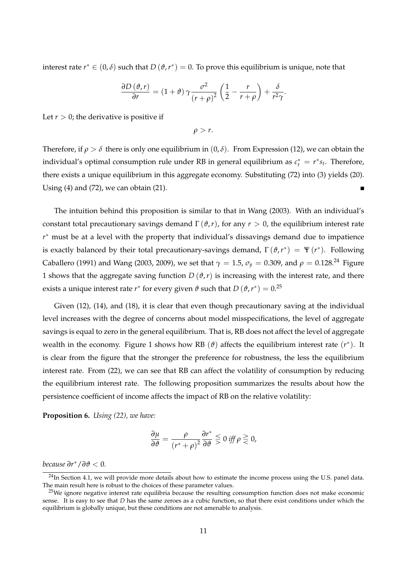interest rate  $r^* \in (0,\delta)$  such that  $D(\vartheta,r^*) = 0$ . To prove this equilibrium is unique, note that

$$
\frac{\partial D(\vartheta,r)}{\partial r} = (1+\vartheta)\,\gamma\frac{\sigma^2}{\left(r+\rho\right)^2}\left(\frac{1}{2}-\frac{r}{r+\rho}\right) + \frac{\delta}{r^2\gamma}.
$$

Let  $r > 0$ ; the derivative is positive if

 $\rho > r$ .

Therefore, if  $\rho > \delta$  there is only one equilibrium in  $(0, \delta)$ . From Expression (12), we can obtain the individual's optimal consumption rule under RB in general equilibrium as  $c_t^* = r^* s_t$ . Therefore, there exists a unique equilibrium in this aggregate economy. Substituting (72) into (3) yields (20). Using (4) and (72), we can obtain (21). П

The intuition behind this proposition is similar to that in Wang (2003). With an individual's constant total precautionary savings demand  $\Gamma(\vartheta, r)$ , for any  $r > 0$ , the equilibrium interest rate *r* ∗ must be at a level with the property that individual's dissavings demand due to impatience is exactly balanced by their total precautionary-savings demand,  $\Gamma(\vartheta, r^*) = \Psi(r^*)$ . Following Caballero (1991) and Wang (2003, 2009), we set that  $\gamma = 1.5$ ,  $\sigma_y = 0.309$ , and  $\rho = 0.128$ .<sup>24</sup> Figure 1 shows that the aggregate saving function  $D(\theta, r)$  is increasing with the interest rate, and there exists a unique interest rate  $r^*$  for every given  $\vartheta$  such that  $D\left(\vartheta, r^*\right)=0.^{25}$ 

Given (12), (14), and (18), it is clear that even though precautionary saving at the individual level increases with the degree of concerns about model misspecifications, the level of aggregate savings is equal to zero in the general equilibrium. That is, RB does not affect the level of aggregate wealth in the economy. Figure 1 shows how RB (*ϑ*) affects the equilibrium interest rate (*r* ∗ ). It is clear from the figure that the stronger the preference for robustness, the less the equilibrium interest rate. From (22), we can see that RB can affect the volatility of consumption by reducing the equilibrium interest rate. The following proposition summarizes the results about how the persistence coefficient of income affects the impact of RB on the relative volatility:

**Proposition 6.** *Using (22), we have:*

$$
\frac{\partial \mu}{\partial \vartheta} = \frac{\rho}{\left(r^* + \rho\right)^2} \frac{\partial r^*}{\partial \vartheta} \lesssim 0 \,\, \text{iff} \,\, \rho \gtrless 0,
$$

*because ∂r* <sup>∗</sup>/*∂ϑ* < 0*.*

 $24$ In Section 4.1, we will provide more details about how to estimate the income process using the U.S. panel data. The main result here is robust to the choices of these parameter values.

 $25$ We ignore negative interest rate equilibria because the resulting consumption function does not make economic sense. It is easy to see that *D* has the same zeroes as a cubic function, so that there exist conditions under which the equilibrium is globally unique, but these conditions are not amenable to analysis.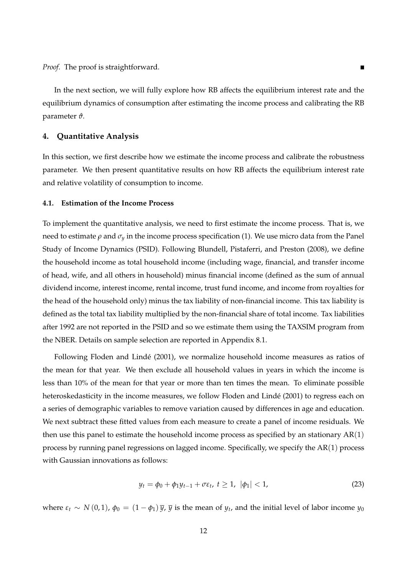*Proof.* The proof is straightforward.

In the next section, we will fully explore how RB affects the equilibrium interest rate and the equilibrium dynamics of consumption after estimating the income process and calibrating the RB parameter *ϑ*.

## **4. Quantitative Analysis**

In this section, we first describe how we estimate the income process and calibrate the robustness parameter. We then present quantitative results on how RB affects the equilibrium interest rate and relative volatility of consumption to income.

#### **4.1. Estimation of the Income Process**

To implement the quantitative analysis, we need to first estimate the income process. That is, we need to estimate  $\rho$  and  $\sigma_y$  in the income process specification (1). We use micro data from the Panel Study of Income Dynamics (PSID). Following Blundell, Pistaferri, and Preston (2008), we define the household income as total household income (including wage, financial, and transfer income of head, wife, and all others in household) minus financial income (defined as the sum of annual dividend income, interest income, rental income, trust fund income, and income from royalties for the head of the household only) minus the tax liability of non-financial income. This tax liability is defined as the total tax liability multiplied by the non-financial share of total income. Tax liabilities after 1992 are not reported in the PSID and so we estimate them using the TAXSIM program from the NBER. Details on sample selection are reported in Appendix 8.1.

Following Floden and Lindé (2001), we normalize household income measures as ratios of the mean for that year. We then exclude all household values in years in which the income is less than 10% of the mean for that year or more than ten times the mean. To eliminate possible heteroskedasticity in the income measures, we follow Floden and Lindé (2001) to regress each on a series of demographic variables to remove variation caused by differences in age and education. We next subtract these fitted values from each measure to create a panel of income residuals. We then use this panel to estimate the household income process as specified by an stationary  $AR(1)$ process by running panel regressions on lagged income. Specifically, we specify the AR(1) process with Gaussian innovations as follows:

$$
y_t = \phi_0 + \phi_1 y_{t-1} + \sigma \varepsilon_t, \ t \ge 1, \ |\phi_1| < 1,\tag{23}
$$

where  $\varepsilon_t \sim N(0,1)$ ,  $\phi_0 = (1 - \phi_1) \overline{y}$ ,  $\overline{y}$  is the mean of  $y_t$ , and the initial level of labor income  $y_0$ 

 $\blacksquare$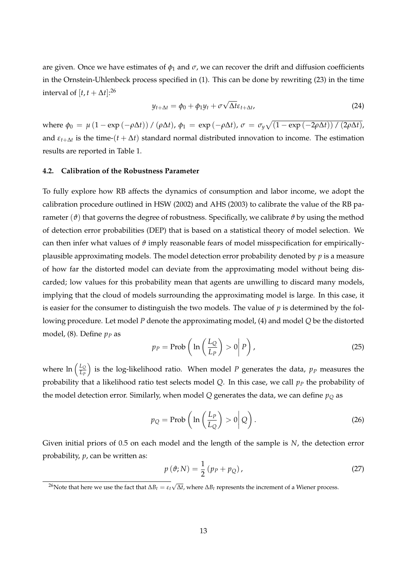are given. Once we have estimates of  $\phi_1$  and  $\sigma$ , we can recover the drift and diffusion coefficients in the Ornstein-Uhlenbeck process specified in (1). This can be done by rewriting (23) in the time interval of  $[t, t + \Delta t]$ :<sup>26</sup>

$$
y_{t+\Delta t} = \phi_0 + \phi_1 y_t + \sigma \sqrt{\Delta t} \varepsilon_{t+\Delta t}, \tag{24}
$$

 $\varphi_0 = \mu (1 - \exp(-\rho \Delta t)) / (\rho \Delta t), \varphi_1 = \exp(-\rho \Delta t), \sigma = \sigma_y \sqrt{(1 - \exp(-2\rho \Delta t)) / (2\rho \Delta t)}$ and  $\varepsilon_{t+\Delta t}$  is the time- $(t + \Delta t)$  standard normal distributed innovation to income. The estimation results are reported in Table 1.

## **4.2. Calibration of the Robustness Parameter**

To fully explore how RB affects the dynamics of consumption and labor income, we adopt the calibration procedure outlined in HSW (2002) and AHS (2003) to calibrate the value of the RB parameter  $(\vartheta)$  that governs the degree of robustness. Specifically, we calibrate  $\vartheta$  by using the method of detection error probabilities (DEP) that is based on a statistical theory of model selection. We can then infer what values of *ϑ* imply reasonable fears of model misspecification for empiricallyplausible approximating models. The model detection error probability denoted by *p* is a measure of how far the distorted model can deviate from the approximating model without being discarded; low values for this probability mean that agents are unwilling to discard many models, implying that the cloud of models surrounding the approximating model is large. In this case, it is easier for the consumer to distinguish the two models. The value of *p* is determined by the following procedure. Let model *P* denote the approximating model, (4) and model *Q* be the distorted model, (8). Define  $p_p$  as

$$
p_P = \text{Prob}\left(\ln\left(\frac{L_Q}{L_P}\right) > 0 \middle| P\right),\tag{25}
$$

where  $\ln \left( \frac{L_Q}{L_R} \right)$ *LP* ) is the log-likelihood ratio. When model  $P$  generates the data,  $p_P$  measures the probability that a likelihood ratio test selects model *Q*. In this case, we call *p<sup>P</sup>* the probability of the model detection error. Similarly, when model  $Q$  generates the data, we can define  $p<sub>O</sub>$  as

$$
p_Q = \text{Prob}\left(\ln\left(\frac{L_P}{L_Q}\right) > 0 \middle| Q\right). \tag{26}
$$

Given initial priors of 0.5 on each model and the length of the sample is *N*, the detection error probability, *p*, can be written as:

$$
p(\vartheta; N) = \frac{1}{2} (p_P + p_Q), \qquad (27)
$$

<sup>26</sup>Note that here we use the fact that  $ΔB_t = ε_t √Δt$ , where  $ΔB_t$  represents the increment of a Wiener process.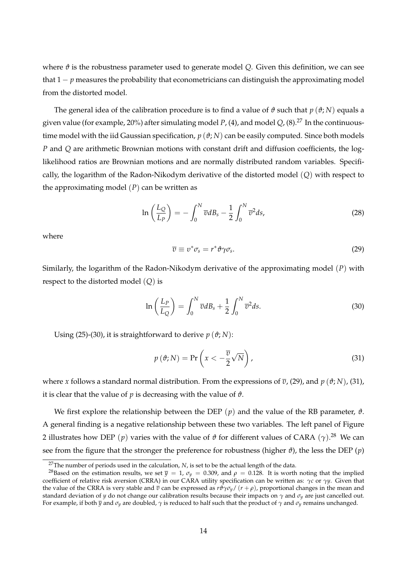where  $\vartheta$  is the robustness parameter used to generate model Q. Given this definition, we can see that  $1 - p$  measures the probability that econometricians can distinguish the approximating model from the distorted model.

The general idea of the calibration procedure is to find a value of  $\vartheta$  such that  $p(\vartheta; N)$  equals a given value (for example, 20%) after simulating model *P*, (4), and model *Q*, (8).<sup>27</sup> In the continuoustime model with the iid Gaussian specification,  $p(\theta; N)$  can be easily computed. Since both models *P* and *Q* are arithmetic Brownian motions with constant drift and diffusion coefficients, the loglikelihood ratios are Brownian motions and are normally distributed random variables. Specifically, the logarithm of the Radon-Nikodym derivative of the distorted model (*Q*) with respect to the approximating model  $(P)$  can be written as

$$
\ln\left(\frac{L_Q}{L_P}\right) = -\int_0^N \overline{v} dB_s - \frac{1}{2} \int_0^N \overline{v}^2 ds,\tag{28}
$$

where

$$
\overline{v} \equiv v^* \sigma_s = r^* \vartheta \gamma \sigma_s. \tag{29}
$$

Similarly, the logarithm of the Radon-Nikodym derivative of the approximating model (*P*) with respect to the distorted model (*Q*) is

$$
\ln\left(\frac{L_P}{L_Q}\right) = \int_0^N \overline{v} dB_s + \frac{1}{2} \int_0^N \overline{v}^2 ds. \tag{30}
$$

Using (25)-(30), it is straightforward to derive  $p(\vartheta; N)$ :

$$
p(\vartheta; N) = \Pr\left(x < -\frac{\overline{v}}{2}\sqrt{N}\right),\tag{31}
$$

where *x* follows a standard normal distribution. From the expressions of *υ*, (29), and *p* (*ϑ*; *N*), (31), it is clear that the value of  $p$  is decreasing with the value of  $\vartheta$ .

We first explore the relationship between the DEP  $(p)$  and the value of the RB parameter,  $\vartheta$ . A general finding is a negative relationship between these two variables. The left panel of Figure 2 illustrates how DEP (*p*) varies with the value of *ϑ* for different values of CARA (*γ*). <sup>28</sup> We can see from the figure that the stronger the preference for robustness (higher  $\vartheta$ ), the less the DEP ( $p$ )

<sup>&</sup>lt;sup>27</sup>The number of periods used in the calculation, *N*, is set to be the actual length of the data.

<sup>&</sup>lt;sup>28</sup>Based on the estimation results, we set  $\bar{y} = 1$ ,  $\sigma_y = 0.309$ , and  $\rho = 0.128$ . It is worth noting that the implied coefficient of relative risk aversion (CRRA) in our CARA utility specification can be written as: *γc* or *γy*. Given that the value of the CRRA is very stable and *v* can be expressed as *r* $\theta$ *γσ*<sub>*y*</sub>/ (*r* + *ρ*), proportional changes in the mean and standard deviation of *y* do not change our calibration results because their impacts on *γ* and *σy* are just cancelled out. For example, if both  $\bar{y}$  and  $\sigma_y$  are doubled,  $\gamma$  is reduced to half such that the product of  $\gamma$  and  $\sigma_y$  remains unchanged.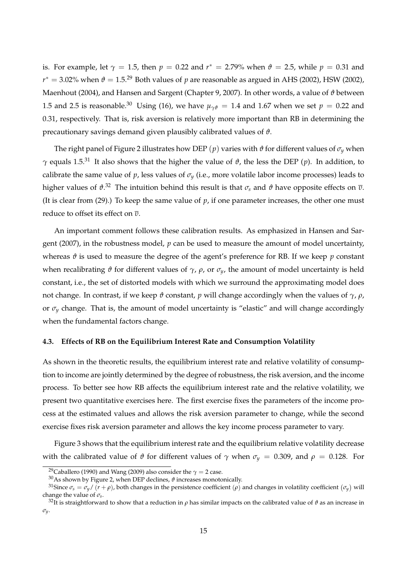is. For example, let  $\gamma = 1.5$ , then  $p = 0.22$  and  $r^* = 2.79\%$  when  $\vartheta = 2.5$ , while  $p = 0.31$  and  $r^{*}=3.02\%$  when  $\vartheta=1.5.^{29}$  Both values of  $p$  are reasonable as argued in AHS (2002), HSW (2002), Maenhout (2004), and Hansen and Sargent (Chapter 9, 2007). In other words, a value of *ϑ* between 1.5 and 2.5 is reasonable.<sup>30</sup> Using (16), we have  $\mu_{\gamma\theta} = 1.4$  and 1.67 when we set  $p = 0.22$  and 0.31, respectively. That is, risk aversion is relatively more important than RB in determining the precautionary savings demand given plausibly calibrated values of *ϑ*.

The right panel of Figure 2 illustrates how DEP (*p*) varies with  $\vartheta$  for different values of  $\sigma_y$  when *γ* equals 1.5.<sup>31</sup> It also shows that the higher the value of *ϑ*, the less the DEP (*p*). In addition, to calibrate the same value of  $p$ , less values of  $\sigma_y$  (i.e., more volatile labor income processes) leads to higher values of *ϑ*. <sup>32</sup> The intuition behind this result is that *σ<sup>s</sup>* and *ϑ* have opposite effects on *υ*. (It is clear from (29).) To keep the same value of *p*, if one parameter increases, the other one must reduce to offset its effect on *υ*.

An important comment follows these calibration results. As emphasized in Hansen and Sargent (2007), in the robustness model, *p* can be used to measure the amount of model uncertainty, whereas  $\vartheta$  is used to measure the degree of the agent's preference for RB. If we keep  $p$  constant when recalibrating *θ* for different values of  $\gamma$ ,  $\rho$ , or  $\sigma$ <sub>*y*</sub>, the amount of model uncertainty is held constant, i.e., the set of distorted models with which we surround the approximating model does not change. In contrast, if we keep *ϑ* constant, *p* will change accordingly when the values of *γ*, *ρ*, or  $\sigma_y$  change. That is, the amount of model uncertainty is "elastic" and will change accordingly when the fundamental factors change.

## **4.3. Effects of RB on the Equilibrium Interest Rate and Consumption Volatility**

As shown in the theoretic results, the equilibrium interest rate and relative volatility of consumption to income are jointly determined by the degree of robustness, the risk aversion, and the income process. To better see how RB affects the equilibrium interest rate and the relative volatility, we present two quantitative exercises here. The first exercise fixes the parameters of the income process at the estimated values and allows the risk aversion parameter to change, while the second exercise fixes risk aversion parameter and allows the key income process parameter to vary.

Figure 3 shows that the equilibrium interest rate and the equilibrium relative volatility decrease with the calibrated value of  $\vartheta$  for different values of  $\gamma$  when  $\sigma_y = 0.309$ , and  $\rho = 0.128$ . For

<sup>&</sup>lt;sup>29</sup>Caballero (1990) and Wang (2009) also consider the  $\gamma = 2$  case.

 $30$ As shown by Figure 2, when DEP declines,  $\vartheta$  increases monotonically.

<sup>&</sup>lt;sup>31</sup>Since  $\sigma_s = \sigma_y/(\tilde{r} + \rho)$ , both changes in the persistence coefficient  $(\rho)$  and changes in volatility coefficient  $(\sigma_y)$  will change the value of *σs*.

<sup>&</sup>lt;sup>32</sup>It is straightforward to show that a reduction in *ρ* has similar impacts on the calibrated value of  $\theta$  as an increase in *σy*.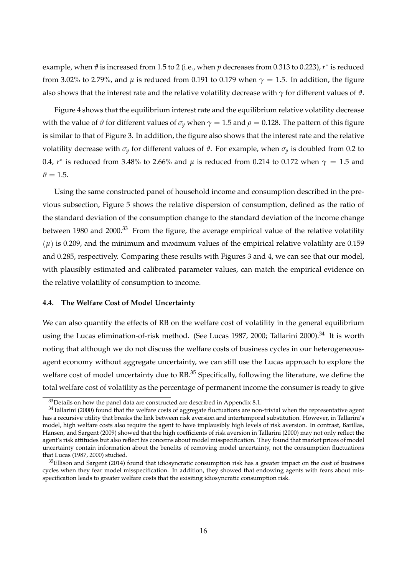example*,* when  $\vartheta$  is increased from 1.5 to 2 (i.e., when  $p$  decreases from 0.313 to 0.223),  $r^*$  is reduced from 3.02% to 2.79%, and  $\mu$  is reduced from 0.191 to 0.179 when  $\gamma = 1.5$ . In addition, the figure also shows that the interest rate and the relative volatility decrease with *γ* for different values of *ϑ*.

Figure 4 shows that the equilibrium interest rate and the equilibrium relative volatility decrease with the value of  $\vartheta$  for different values of  $\sigma_y$  when  $\gamma = 1.5$  and  $\rho = 0.128$ . The pattern of this figure is similar to that of Figure 3. In addition, the figure also shows that the interest rate and the relative volatility decrease with  $σ<sub>γ</sub>$  for different values of  $\vartheta$ . For example, when  $σ<sub>γ</sub>$  is doubled from 0.2 to 0.4, *r* ∗ is reduced from 3.48% to 2.66% and *µ* is reduced from 0.214 to 0.172 when *γ* = 1.5 and  $\vartheta = 1.5$ .

Using the same constructed panel of household income and consumption described in the previous subsection, Figure 5 shows the relative dispersion of consumption, defined as the ratio of the standard deviation of the consumption change to the standard deviation of the income change between 1980 and 2000.<sup>33</sup> From the figure, the average empirical value of the relative volatility  $(\mu)$  is 0.209, and the minimum and maximum values of the empirical relative volatility are 0.159 and 0.285, respectively. Comparing these results with Figures 3 and 4, we can see that our model, with plausibly estimated and calibrated parameter values, can match the empirical evidence on the relative volatility of consumption to income.

## **4.4. The Welfare Cost of Model Uncertainty**

We can also quantify the effects of RB on the welfare cost of volatility in the general equilibrium using the Lucas elimination-of-risk method. (See Lucas 1987, 2000; Tallarini 2000).<sup>34</sup> It is worth noting that although we do not discuss the welfare costs of business cycles in our heterogeneousagent economy without aggregate uncertainty, we can still use the Lucas approach to explore the welfare cost of model uncertainty due to RB.<sup>35</sup> Specifically, following the literature, we define the total welfare cost of volatility as the percentage of permanent income the consumer is ready to give

 $33$  Details on how the panel data are constructed are described in Appendix 8.1.

<sup>&</sup>lt;sup>34</sup>Tallarini (2000) found that the welfare costs of aggregate fluctuations are non-trivial when the representative agent has a recursive utility that breaks the link between risk aversion and intertemporal substitution. However, in Tallarini's model, high welfare costs also require the agent to have implausibly high levels of risk aversion. In contrast, Barillas, Hansen, and Sargent (2009) showed that the high coefficients of risk aversion in Tallarini (2000) may not only reflect the agent's risk attitudes but also reflect his concerns about model misspecification. They found that market prices of model uncertainty contain information about the benefits of removing model uncertainty, not the consumption fluctuations that Lucas (1987, 2000) studied.

<sup>&</sup>lt;sup>35</sup>Ellison and Sargent (2014) found that idiosyncratic consumption risk has a greater impact on the cost of business cycles when they fear model misspecification. In addition, they showed that endowing agents with fears about misspecification leads to greater welfare costs that the exisiting idiosyncratic consumption risk.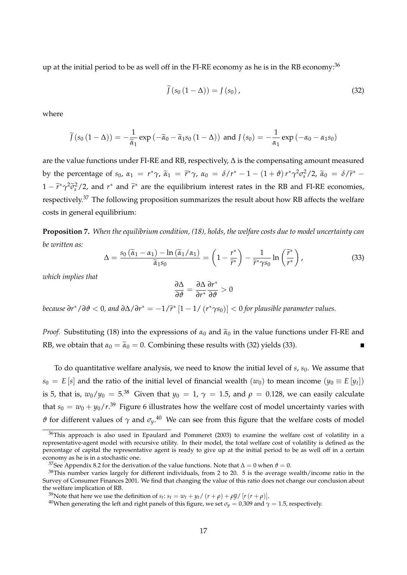up at the initial period to be as well off in the FI-RE economy as he is in the RB economy:<sup>36</sup>

$$
\widetilde{J}(s_0(1-\Delta))=J(s_0),\qquad(32)
$$

where

$$
\widetilde{J}(s_0(1-\Delta)) = -\frac{1}{\widetilde{\alpha}_1} \exp\left(-\widetilde{\alpha}_0 - \widetilde{\alpha}_1 s_0(1-\Delta)\right) \text{ and } J(s_0) = -\frac{1}{\alpha_1} \exp\left(-\alpha_0 - \alpha_1 s_0\right)
$$

are the value functions under FI-RE and RB, respectively, ∆ is the compensating amount measured by the percentage of  $s_0$ ,  $\alpha_1 = r^* \gamma$ ,  $\widetilde{\alpha}_1 = \widetilde{r}^* \gamma$ ,  $\alpha_0 = \delta/r^* - 1 - (1 + \vartheta) r^* \gamma^2 \sigma_s^2 / 2$ ,  $\widetilde{\alpha}_0 = \delta/\widetilde{r}^* -$ 1 −  $\tilde{r}$ <sup>\*</sup>  $\gamma$ <sup>2</sup> $\tilde{\sigma}$ <sup>2</sup><sub>*s*</sub> /2, and *r*<sup>\*</sup> and  $\tilde{r}$ <sup>\*</sup> are the equilibrium interest rates in the RB and FI-RE economies, respectively.<sup>37</sup> The following proposition summarizes the result about how RB affects the welfare costs in general equilibrium:

**Proposition 7.** *When the equilibrium condition, (18), holds, the welfare costs due to model uncertainty can be written as:*

$$
\Delta = \frac{s_0 \left(\widetilde{\alpha}_1 - \alpha_1\right) - \ln\left(\widetilde{\alpha}_1/\alpha_1\right)}{\widetilde{\alpha}_1 s_0} = \left(1 - \frac{r^*}{\widetilde{r}^*}\right) - \frac{1}{\widetilde{r}^* \gamma s_0} \ln\left(\frac{\widetilde{r}^*}{r^*}\right),\tag{33}
$$

*which implies that*

$$
\frac{\partial \Delta}{\partial \vartheta} = \frac{\partial \Delta}{\partial r^*} \frac{\partial r^*}{\partial \vartheta} > 0
$$

*because*  $\partial r^*/\partial \theta < 0$ , and  $\partial \Delta/\partial r^* = -1/\widetilde{r}^* \left[1 - 1/\left(r^* \gamma s_0\right)\right] < 0$  for plausible parameter values.

*Proof.* Substituting (18) into the expressions of  $\alpha_0$  and  $\tilde{\alpha}_0$  in the value functions under FI-RE and RB, we obtain that  $\alpha_0 = \tilde{\alpha}_0 = 0$ . Combining these results with (32) yields (33).

To do quantitative welfare analysis, we need to know the initial level of *s*, *s*<sub>0</sub>. We assume that  $s_0 = E[s]$  and the ratio of the initial level of financial wealth  $(w_0)$  to mean income  $(y_0 \equiv E[y_t])$ is 5, that is,  $w_0/y_0 = 5^{38}$  Given that  $y_0 = 1$ ,  $\gamma = 1.5$ , and  $\rho = 0.128$ , we can easily calculate that  $s_0 = w_0 + y_0/r^{39}$  Figure 6 illustrates how the welfare cost of model uncertainty varies with  $\vartheta$  for different values of  $\gamma$  and  $\sigma_y$ .<sup>40</sup> We can see from this figure that the welfare costs of model

<sup>&</sup>lt;sup>36</sup>This approach is also used in Epaulard and Pommeret (2003) to examine the welfare cost of volatility in a representative-agent model with recursive utility. In their model, the total welfare cost of volatility is defined as the percentage of capital the representative agent is ready to give up at the initial period to be as well off in a certain economy as he is in a stochastic one.

<sup>&</sup>lt;sup>37</sup>See Appendix 8.2 for the derivation of the value functions. Note that  $\Delta = 0$  when  $\theta = 0$ .

 $38$ This number varies largely for different individuals, from 2 to 20. 5 is the average wealth/income ratio in the Survey of Consumer Finances 2001. We find that changing the value of this ratio does not change our conclusion about the welfare implication of RB.

<sup>&</sup>lt;sup>39</sup>Note that here we use the definition of  $s_t$ :  $s_t = w_t + y_t / (r + \rho) + \rho \overline{y} / [r (r + \rho)].$ 

<sup>&</sup>lt;sup>40</sup>When generating the left and right panels of this figure, we set  $\sigma_y = 0.309$  and  $\gamma = 1.5$ , respectively.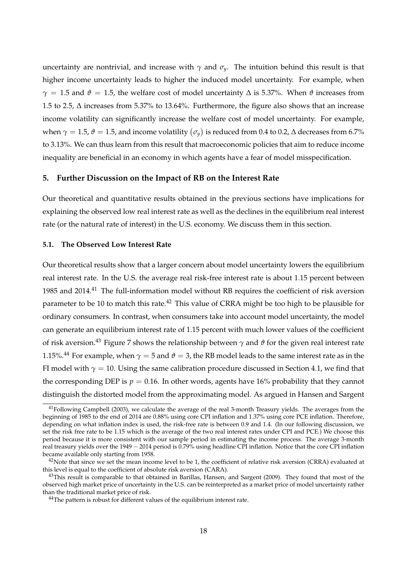uncertainty are nontrivial, and increase with  $\gamma$  and  $\sigma_{\gamma}$ . The intuition behind this result is that higher income uncertainty leads to higher the induced model uncertainty. For example, when *γ* = 1.5 and  $\vartheta$  = 1.5, the welfare cost of model uncertainty  $\Delta$  is 5.37%. When  $\vartheta$  increases from 1.5 to 2.5, ∆ increases from 5.37% to 13.64%. Furthermore, the figure also shows that an increase income volatility can significantly increase the welfare cost of model uncertainty. For example, when  $\gamma = 1.5$ ,  $\vartheta = 1.5$ , and income volatility  $(\sigma_y)$  is reduced from 0.4 to 0.2,  $\Delta$  decreases from 6.7% to 3.13%. We can thus learn from this result that macroeconomic policies that aim to reduce income inequality are beneficial in an economy in which agents have a fear of model misspecification.

## **5. Further Discussion on the Impact of RB on the Interest Rate**

Our theoretical and quantitative results obtained in the previous sections have implications for explaining the observed low real interest rate as well as the declines in the equilibrium real interest rate (or the natural rate of interest) in the U.S. economy. We discuss them in this section.

#### **5.1. The Observed Low Interest Rate**

Our theoretical results show that a larger concern about model uncertainty lowers the equilibrium real interest rate. In the U.S. the average real risk-free interest rate is about 1.15 percent between 1985 and 2014.<sup>41</sup> The full-information model without RB requires the coefficient of risk aversion parameter to be 10 to match this rate.<sup>42</sup> This value of CRRA might be too high to be plausible for ordinary consumers. In contrast, when consumers take into account model uncertainty, the model can generate an equilibrium interest rate of 1.15 percent with much lower values of the coefficient of risk aversion.<sup>43</sup> Figure 7 shows the relationship between  $\gamma$  and  $\vartheta$  for the given real interest rate 1.15%.<sup>44</sup> For example, when  $\gamma = 5$  and  $\theta = 3$ , the RB model leads to the same interest rate as in the FI model with  $\gamma = 10$ . Using the same calibration procedure discussed in Section 4.1, we find that the corresponding DEP is  $p = 0.16$ . In other words, agents have 16% probability that they cannot distinguish the distorted model from the approximating model. As argued in Hansen and Sargent

<sup>&</sup>lt;sup>41</sup>Following Campbell (2003), we calculate the average of the real 3-month Treasury yields. The averages from the beginning of 1985 to the end of 2014 are 0.88% using core CPI inflation and 1.37% using core PCE inflation. Therefore, depending on what inflation index is used, the risk-free rate is between 0.9 and 1.4. (In our following discussion, we set the risk free rate to be 1.15 which is the average of the two real interest rates under CPI and PCE.) We choose this period because it is more consistent with our sample period in estimating the income process. The average 3-month real treasury yields over the 1949 − 2014 period is 0.79% using headline CPI inflation. Notice that the core CPI inflation became available only starting from 1958.

 $^{42}$ Note that since we set the mean income level to be 1, the coefficient of relative risk aversion (CRRA) evaluated at this level is equal to the coefficient of absolute risk aversion (CARA).

 $43$ This result is comparable to that obtained in Barillas, Hansen, and Sargent (2009). They found that most of the observed high market price of uncertainty in the U.S. can be reinterpreted as a market price of model uncertainty rather than the traditional market price of risk.

<sup>&</sup>lt;sup>44</sup>The pattern is robust for different values of the equilibrium interest rate.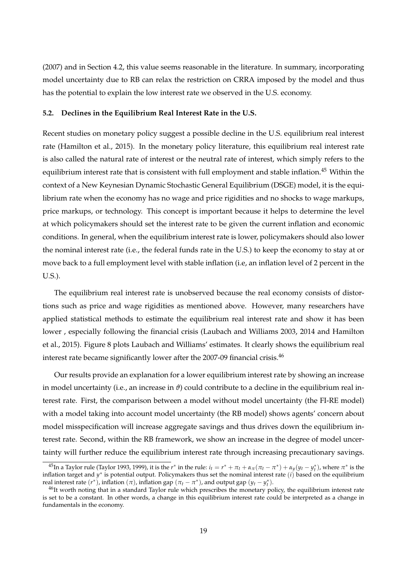(2007) and in Section 4.2, this value seems reasonable in the literature. In summary, incorporating model uncertainty due to RB can relax the restriction on CRRA imposed by the model and thus has the potential to explain the low interest rate we observed in the U.S. economy.

## **5.2. Declines in the Equilibrium Real Interest Rate in the U.S.**

Recent studies on monetary policy suggest a possible decline in the U.S. equilibrium real interest rate (Hamilton et al., 2015). In the monetary policy literature, this equilibrium real interest rate is also called the natural rate of interest or the neutral rate of interest, which simply refers to the equilibrium interest rate that is consistent with full employment and stable inflation.<sup>45</sup> Within the context of a New Keynesian Dynamic Stochastic General Equilibrium (DSGE) model, it is the equilibrium rate when the economy has no wage and price rigidities and no shocks to wage markups, price markups, or technology. This concept is important because it helps to determine the level at which policymakers should set the interest rate to be given the current inflation and economic conditions. In general, when the equilibrium interest rate is lower, policymakers should also lower the nominal interest rate (i.e., the federal funds rate in the U.S.) to keep the economy to stay at or move back to a full employment level with stable inflation (i.e, an inflation level of 2 percent in the U.S.).

The equilibrium real interest rate is unobserved because the real economy consists of distortions such as price and wage rigidities as mentioned above. However, many researchers have applied statistical methods to estimate the equilibrium real interest rate and show it has been lower , especially following the financial crisis (Laubach and Williams 2003, 2014 and Hamilton et al., 2015). Figure 8 plots Laubach and Williams' estimates. It clearly shows the equilibrium real interest rate became significantly lower after the 2007-09 financial crisis.<sup>46</sup>

Our results provide an explanation for a lower equilibrium interest rate by showing an increase in model uncertainty (i.e., an increase in  $\vartheta$ ) could contribute to a decline in the equilibrium real interest rate. First, the comparison between a model without model uncertainty (the FI-RE model) with a model taking into account model uncertainty (the RB model) shows agents' concern about model misspecification will increase aggregate savings and thus drives down the equilibrium interest rate. Second, within the RB framework, we show an increase in the degree of model uncertainty will further reduce the equilibrium interest rate through increasing precautionary savings.

<sup>&</sup>lt;sup>45</sup>In a Taylor rule (Taylor 1993, 1999), it is the  $r^*$  in the rule:  $i_t = r^* + \pi_t + \alpha_\pi(\pi_t - \pi^*) + \alpha_y(y_t - y_t^*)$ , where  $\pi^*$  is the inflation target and y\* is potential output. Policymakers thus set the nominal interest rate (*i*) based on the equilibrium real interest rate  $(r^*)$ , inflation  $(\pi)$ , inflation gap  $(\pi_t - \pi^*)$ , and output gap  $(y_t - y_t^*)$ .

<sup>&</sup>lt;sup>46</sup>It worth noting that in a standard Taylor rule which prescribes the monetary policy, the equilibrium interest rate is set to be a constant. In other words, a change in this equilibrium interest rate could be interpreted as a change in fundamentals in the economy.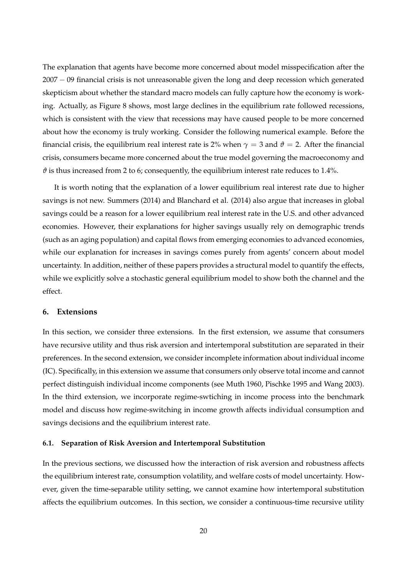The explanation that agents have become more concerned about model misspecification after the 2007 − 09 financial crisis is not unreasonable given the long and deep recession which generated skepticism about whether the standard macro models can fully capture how the economy is working. Actually, as Figure 8 shows, most large declines in the equilibrium rate followed recessions, which is consistent with the view that recessions may have caused people to be more concerned about how the economy is truly working. Consider the following numerical example. Before the financial crisis, the equilibrium real interest rate is 2% when  $\gamma = 3$  and  $\vartheta = 2$ . After the financial crisis, consumers became more concerned about the true model governing the macroeconomy and  $\vartheta$  is thus increased from 2 to 6; consequently, the equilibrium interest rate reduces to 1.4%.

It is worth noting that the explanation of a lower equilibrium real interest rate due to higher savings is not new. Summers (2014) and Blanchard et al. (2014) also argue that increases in global savings could be a reason for a lower equilibrium real interest rate in the U.S. and other advanced economies. However, their explanations for higher savings usually rely on demographic trends (such as an aging population) and capital flows from emerging economies to advanced economies, while our explanation for increases in savings comes purely from agents' concern about model uncertainty. In addition, neither of these papers provides a structural model to quantify the effects, while we explicitly solve a stochastic general equilibrium model to show both the channel and the effect.

## **6. Extensions**

In this section, we consider three extensions. In the first extension, we assume that consumers have recursive utility and thus risk aversion and intertemporal substitution are separated in their preferences. In the second extension, we consider incomplete information about individual income (IC). Specifically, in this extension we assume that consumers only observe total income and cannot perfect distinguish individual income components (see Muth 1960, Pischke 1995 and Wang 2003). In the third extension, we incorporate regime-swtiching in income process into the benchmark model and discuss how regime-switching in income growth affects individual consumption and savings decisions and the equilibrium interest rate.

#### **6.1. Separation of Risk Aversion and Intertemporal Substitution**

In the previous sections, we discussed how the interaction of risk aversion and robustness affects the equilibrium interest rate, consumption volatility, and welfare costs of model uncertainty. However, given the time-separable utility setting, we cannot examine how intertemporal substitution affects the equilibrium outcomes. In this section, we consider a continuous-time recursive utility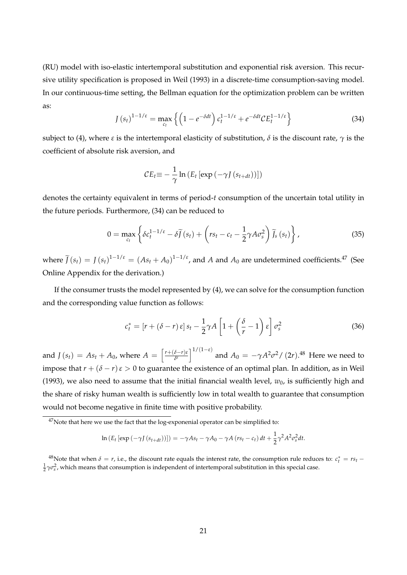(RU) model with iso-elastic intertemporal substitution and exponential risk aversion. This recursive utility specification is proposed in Weil (1993) in a discrete-time consumption-saving model. In our continuous-time setting, the Bellman equation for the optimization problem can be written as:

$$
J\left(s_{t}\right)^{1-1/\varepsilon} = \max_{c_{t}} \left\{ \left(1 - e^{-\delta dt}\right) c_{t}^{1-1/\varepsilon} + e^{-\delta dt} \mathcal{C} E_{t}^{1-1/\varepsilon} \right\}
$$
(34)

subject to (4), where *ε* is the intertemporal elasticity of substitution,  $\delta$  is the discount rate,  $\gamma$  is the coefficient of absolute risk aversion, and

$$
CE_t \equiv -\frac{1}{\gamma} \ln \left( E_t \left[ \exp \left( -\gamma J \left( s_{t+dt} \right) \right) \right] \right)
$$

denotes the certainty equivalent in terms of period-*t* consumption of the uncertain total utility in the future periods. Furthermore, (34) can be reduced to

$$
0 = \max_{c_t} \left\{ \delta c_t^{1-1/\varepsilon} - \delta \widetilde{J}(s_t) + \left( rs_t - c_t - \frac{1}{2} \gamma A \sigma_s^2 \right) \widetilde{J}_s \left( s_t \right) \right\},\tag{35}
$$

where  $\tilde{J}(s_t) = J(s_t)^{1-1/\varepsilon} = (As_t + A_0)^{1-1/\varepsilon}$ , and *A* and  $A_0$  are undetermined coefficients.<sup>47</sup> (See Online Appendix for the derivation.)

If the consumer trusts the model represented by (4), we can solve for the consumption function and the corresponding value function as follows:

$$
c_t^* = \left[r + (\delta - r)\epsilon\right]s_t - \frac{1}{2}\gamma A \left[1 + \left(\frac{\delta}{r} - 1\right)\epsilon\right]\sigma_s^2\tag{36}
$$

and  $J(s_t) = As_t + A_0$ , where  $A = \left[\frac{r+(\delta-r)\varepsilon}{\delta^{\varepsilon}}\right]^{1/(1-\varepsilon)}$  and  $A_0 = -\gamma A^2\sigma^2/ (2r)^{.48}$  Here we need to impose that  $r + (\delta - r) \varepsilon > 0$  to guarantee the existence of an optimal plan. In addition, as in Weil (1993), we also need to assume that the initial financial wealth level,  $w_0$ , is sufficiently high and the share of risky human wealth is sufficiently low in total wealth to guarantee that consumption would not become negative in finite time with positive probability.

$$
\ln \left( E_t \left[ \exp \left( -\gamma J \left( s_{t+dt} \right) \right) \right] \right) = -\gamma A s_t - \gamma A_0 - \gamma A \left( r s_t - c_t \right) dt + \frac{1}{2} \gamma^2 A^2 \sigma_s^2 dt.
$$

<sup>48</sup>Note that when  $\delta = r$ , i.e., the discount rate equals the interest rate, the consumption rule reduces to:  $c_t^* = rs_t \frac{1}{2}\gamma\sigma_s^2$ , which means that consumption is independent of intertemporal substitution in this special case.

 $47$ Note that here we use the fact that the log-exponenial operator can be simplified to: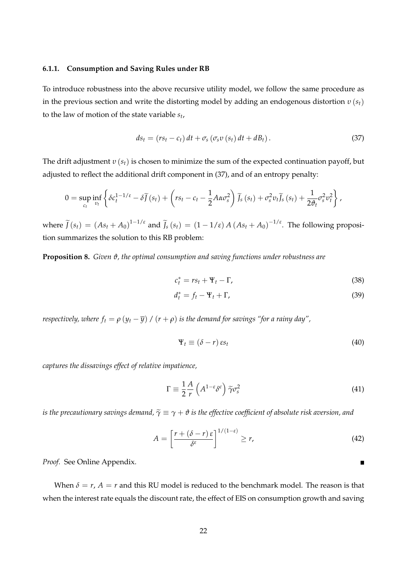#### **6.1.1. Consumption and Saving Rules under RB**

To introduce robustness into the above recursive utility model, we follow the same procedure as in the previous section and write the distorting model by adding an endogenous distortion *υ* (*st*) to the law of motion of the state variable *s<sup>t</sup>* ,

$$
ds_t = (rs_t - c_t) dt + \sigma_s (\sigma_s v (s_t) dt + dB_t).
$$
\n(37)

The drift adjustment *υ* (*st*) is chosen to minimize the sum of the expected continuation payoff, but adjusted to reflect the additional drift component in (37), and of an entropy penalty:

$$
0 = \sup_{c_t} \inf_{v_t} \left\{ \delta c_t^{1-1/\varepsilon} - \delta \widetilde{J}(s_t) + \left( rs_t - c_t - \frac{1}{2} A \alpha \sigma_s^2 \right) \widetilde{J}_s \left( s_t \right) + \sigma_s^2 v_t \widetilde{J}_s \left( s_t \right) + \frac{1}{2 \vartheta_t} \sigma_s^2 v_t^2 \right\},\,
$$

where  $\tilde{J}(s_t) = (As_t + A_0)^{1-1/\varepsilon}$  and  $\tilde{J}_s(s_t) = (1 - 1/\varepsilon) A (As_t + A_0)^{-1/\varepsilon}$ . The following proposition summarizes the solution to this RB problem:

**Proposition 8.** *Given ϑ, the optimal consumption and saving functions under robustness are*

$$
c_t^* = rs_t + \Psi_t - \Gamma,\tag{38}
$$

$$
d_t^* = f_t - \Psi_t + \Gamma,\tag{39}
$$

*respectively, where*  $f_t = \rho (y_t - \overline{y}) / (r + \rho)$  *is the demand for savings "for a rainy day",* 

$$
\Psi_t \equiv (\delta - r) \, \varepsilon s_t \tag{40}
$$

*captures the dissavings effect of relative impatience,*

$$
\Gamma \equiv \frac{1}{2} \frac{A}{r} \left( A^{1-\varepsilon} \delta^{\varepsilon} \right) \tilde{\gamma} \sigma_s^2 \tag{41}
$$

*is the precautionary savings demand,*  $\tilde{\gamma} \equiv \gamma + \vartheta$  *is the effective coefficient of absolute risk aversion, and* 

$$
A = \left[\frac{r + (\delta - r)\,\varepsilon}{\delta^{\varepsilon}}\right]^{1/(1-\varepsilon)} \ge r,\tag{42}
$$

*Proof.* See Online Appendix.

When  $\delta = r$ ,  $A = r$  and this RU model is reduced to the benchmark model. The reason is that when the interest rate equals the discount rate, the effect of EIS on consumption growth and saving

 $\blacksquare$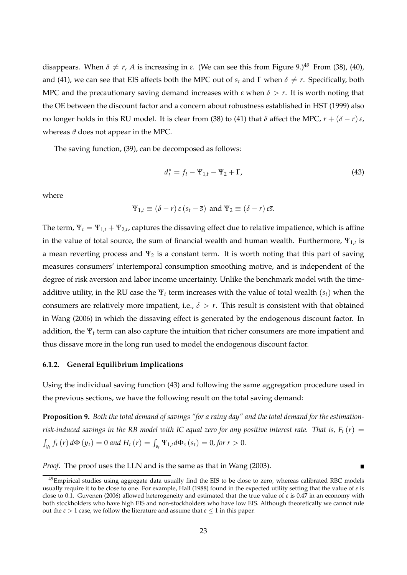disappears. When  $\delta \neq r$ , *A* is increasing in  $\varepsilon$ . (We can see this from Figure 9.)<sup>49</sup> From (38), (40), and (41), we can see that EIS affects both the MPC out of  $s_t$  and  $\Gamma$  when  $\delta \neq r$ . Specifically, both MPC and the precautionary saving demand increases with  $\varepsilon$  when  $\delta > r$ . It is worth noting that the OE between the discount factor and a concern about robustness established in HST (1999) also no longer holds in this RU model. It is clear from (38) to (41) that *δ* affect the MPC, *r* + (*δ* − *r*)*ε*, whereas  $\vartheta$  does not appear in the MPC.

The saving function, (39), can be decomposed as follows:

$$
d_t^* = f_t - \Psi_{1,t} - \Psi_2 + \Gamma,\tag{43}
$$

 $\blacksquare$ 

where

$$
\Psi_{1,t} \equiv (\delta - r) \varepsilon (s_t - \overline{s})
$$
 and  $\Psi_2 \equiv (\delta - r) \varepsilon \overline{s}$ .

The term,  $\Psi_t = \Psi_{1,t} + \Psi_{2,t}$ , captures the dissaving effect due to relative impatience, which is affine in the value of total source, the sum of financial wealth and human wealth. Furthermore,  $\Psi_{1,t}$  is a mean reverting process and  $\Psi_2$  is a constant term. It is worth noting that this part of saving measures consumers' intertemporal consumption smoothing motive, and is independent of the degree of risk aversion and labor income uncertainty. Unlike the benchmark model with the timeadditive utility, in the RU case the  $\Psi_t$  term increases with the value of total wealth  $(s_t)$  when the consumers are relatively more impatient, i.e.,  $\delta > r$ . This result is consistent with that obtained in Wang (2006) in which the dissaving effect is generated by the endogenous discount factor. In addition, the Ψ*<sup>t</sup>* term can also capture the intuition that richer consumers are more impatient and thus dissave more in the long run used to model the endogenous discount factor.

## **6.1.2. General Equilibrium Implications**

Using the individual saving function (43) and following the same aggregation procedure used in the previous sections, we have the following result on the total saving demand:

**Proposition 9.** *Both the total demand of savings "for a rainy day" and the total demand for the estimationrisk-induced savings in the RB model with IC equal zero for any positive interest rate. That is,*  $F_t(r)$  *=*  $\int_{y_t} f_t(r) d\Phi(y_t) = 0$  and  $H_t(r) = \int_{s_t} \Psi_{1,t} d\Phi_s(s_t) = 0$ , for  $r > 0$ .

*Proof.* The proof uses the LLN and is the same as that in Wang (2003).

 $^{49}$ Empirical studies using aggregate data usually find the EIS to be close to zero, whereas calibrated RBC models usually require it to be close to one. For example, Hall (1988) found in the expected utility setting that the value of *ε* is close to 0.1. Guvenen (2006) allowed heterogeneity and estimated that the true value of *ε* is 0.47 in an economy with both stockholders who have high EIS and non-stockholders who have low EIS. Although theoretically we cannot rule out the  $\varepsilon > 1$  case, we follow the literature and assume that  $\varepsilon \leq 1$  in this paper.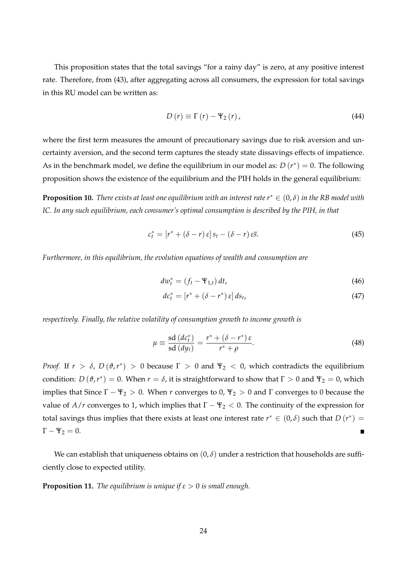This proposition states that the total savings "for a rainy day" is zero, at any positive interest rate. Therefore, from (43), after aggregating across all consumers, the expression for total savings in this RU model can be written as:

$$
D(r) \equiv \Gamma(r) - \Psi_2(r), \qquad (44)
$$

where the first term measures the amount of precautionary savings due to risk aversion and uncertainty aversion, and the second term captures the steady state dissavings effects of impatience. As in the benchmark model, we define the equilibrium in our model as:  $D\left( r^{\ast }\right) =0.$  The following proposition shows the existence of the equilibrium and the PIH holds in the general equilibrium:

**Proposition 10.** *There exists at least one equilibrium with an interest rate r*<sup>∗</sup> ∈ (0, *δ*) *in the RB model with IC. In any such equilibrium, each consumer's optimal consumption is described by the PIH, in that*

$$
c_t^* = [r^* + (\delta - r) \varepsilon] s_t - (\delta - r) \varepsilon \overline{s}.
$$
 (45)

*Furthermore, in this equilibrium, the evolution equations of wealth and consumption are*

$$
dw_t^* = \left(f_t - \Psi_{1,t}\right)dt,\tag{46}
$$

$$
dc_t^* = [r^* + (\delta - r^*) \varepsilon] ds_t, \tag{47}
$$

*respectively. Finally, the relative volatility of consumption growth to income growth is*

$$
\mu \equiv \frac{\text{sd}\,(dc_t^*)}{\text{sd}\,(dy_t)} = \frac{r^* + (\delta - r^*)\,\varepsilon}{r^* + \rho}.\tag{48}
$$

*Proof.* If  $r > \delta$ ,  $D(\vartheta, r^*) > 0$  because  $\Gamma > 0$  and  $\Psi_2 < 0$ , which contradicts the equilibrium condition:  $D(\vartheta, r^*) = 0$ . When  $r = \delta$ , it is straightforward to show that  $\Gamma > 0$  and  $\Psi_2 = 0$ , which implies that Since  $\Gamma - \Psi_2 > 0$ . When *r* converges to 0,  $\Psi_2 > 0$  and  $\Gamma$  converges to 0 because the value of *A/r* converges to 1, which implies that  $\Gamma - \Psi_2 < 0$ . The continuity of the expression for total savings thus implies that there exists at least one interest rate  $r^* \in (0,\delta)$  such that  $D(r^*) =$  $\Gamma - \Psi_2 = 0.$  $\blacksquare$ 

We can establish that uniqueness obtains on  $(0, \delta)$  under a restriction that households are sufficiently close to expected utility.

**Proposition 11.** *The equilibrium is unique if*  $\varepsilon > 0$  *is small enough.*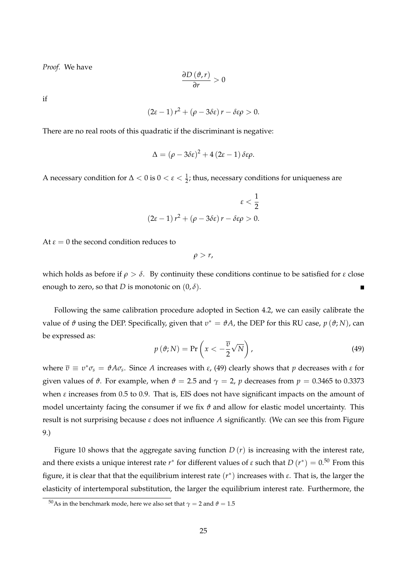*Proof.* We have

$$
\frac{\partial D\left(\vartheta,r\right)}{\partial r}>0
$$

if

$$
(2\varepsilon-1) r^2 + (\rho - 3\delta \varepsilon) r - \delta \varepsilon \rho > 0.
$$

There are no real roots of this quadratic if the discriminant is negative:

$$
\Delta = (\rho - 3\delta \varepsilon)^2 + 4(2\varepsilon - 1)\,\delta \varepsilon \rho.
$$

A necessary condition for  $\Delta < 0$  is  $0 < \varepsilon < \frac{1}{2}$ ; thus, necessary conditions for uniqueness are

$$
\varepsilon < \frac{1}{2}
$$
\n
$$
(2\varepsilon - 1) r^2 + (\rho - 3\delta\varepsilon) r - \delta\varepsilon\rho > 0.
$$

At  $\varepsilon = 0$  the second condition reduces to

*ρ* > *r*,

which holds as before if  $\rho > \delta$ . By continuity these conditions continue to be satisfied for  $\varepsilon$  close enough to zero, so that *D* is monotonic on  $(0, \delta)$ .

Following the same calibration procedure adopted in Section 4.2, we can easily calibrate the value of *ϑ* using the DEP. Specifically, given that *υ* ∗ = *ϑA*, the DEP for this RU case, *p* (*ϑ*; *N*), can be expressed as:

$$
p(\vartheta; N) = \Pr\left(x < -\frac{\overline{v}}{2}\sqrt{N}\right),\tag{49}
$$

 $w$  here  $\overline{v} \equiv v^* \sigma_s = \vartheta A \sigma_s$ . Since *A* increases with *ε*, (49) clearly shows that *p* decreases with *ε* for given values of  $\vartheta$ . For example, when  $\vartheta = 2.5$  and  $\gamma = 2$ , *p* decreases from  $p = 0.3465$  to 0.3373 when *ε* increases from 0.5 to 0.9. That is, EIS does not have significant impacts on the amount of model uncertainty facing the consumer if we fix  $\vartheta$  and allow for elastic model uncertainty. This result is not surprising because *ε* does not influence *A* significantly. (We can see this from Figure 9.)

Figure 10 shows that the aggregate saving function *D* (*r*) is increasing with the interest rate, and there exists a unique interest rate  $r^*$  for different values of  $\varepsilon$  such that  $D(r^*) = 0.50$  From this figure, it is clear that that the equilibrium interest rate (*r* ∗ ) increases with *ε*. That is, the larger the elasticity of intertemporal substitution, the larger the equilibrium interest rate. Furthermore, the

<sup>&</sup>lt;sup>50</sup>As in the benchmark mode, here we also set that  $\gamma = 2$  and  $\theta = 1.5$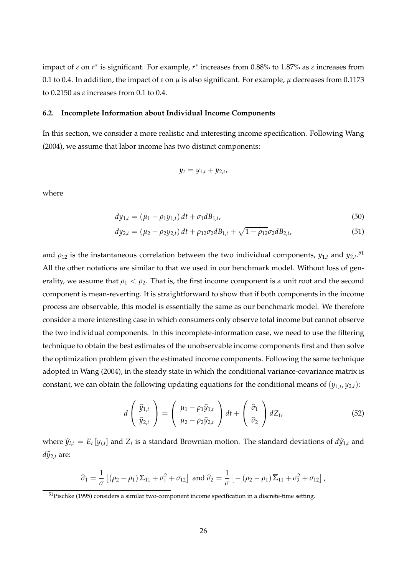impact of *ε* on *r* ∗ is significant. For example, *r* ∗ increases from 0.88% to 1.87% as *ε* increases from 0.1 to 0.4. In addition, the impact of  $\varepsilon$  on  $\mu$  is also significant. For example,  $\mu$  decreases from 0.1173 to 0.2150 as *ε* increases from 0.1 to 0.4.

## **6.2. Incomplete Information about Individual Income Components**

In this section, we consider a more realistic and interesting income specification. Following Wang (2004), we assume that labor income has two distinct components:

$$
y_t = y_{1,t} + y_{2,t},
$$

where

$$
dy_{1,t} = (\mu_1 - \rho_1 y_{1,t}) dt + \sigma_1 dB_{1,t},
$$
\n(50)

$$
dy_{2,t} = (\mu_2 - \rho_2 y_{2,t}) dt + \rho_{12} \sigma_2 dB_{1,t} + \sqrt{1 - \rho_{12}} \sigma_2 dB_{2,t},
$$
\n(51)

and  $\rho_{12}$  is the instantaneous correlation between the two individual components,  $y_{1,t}$  and  $y_{2,t}$ .<sup>51</sup> All the other notations are similar to that we used in our benchmark model. Without loss of generality, we assume that  $\rho_1 < \rho_2$ . That is, the first income component is a unit root and the second component is mean-reverting. It is straightforward to show that if both components in the income process are observable, this model is essentially the same as our benchmark model. We therefore consider a more interesting case in which consumers only observe total income but cannot observe the two individual components. In this incomplete-information case, we need to use the filtering technique to obtain the best estimates of the unobservable income components first and then solve the optimization problem given the estimated income components. Following the same technique adopted in Wang (2004), in the steady state in which the conditional variance-covariance matrix is constant, we can obtain the following updating equations for the conditional means of  $(y_{1,t}, y_{2,t})$ :

$$
d\left(\begin{array}{c}\widehat{y}_{1,t}\\\widehat{y}_{2,t}\end{array}\right)=\left(\begin{array}{c}\mu_1-\rho_1\widehat{y}_{1,t}\\\mu_2-\rho_2\widehat{y}_{2,t}\end{array}\right)dt+\left(\begin{array}{c}\widehat{\sigma}_1\\\widehat{\sigma}_2\end{array}\right)dZ_t,\tag{52}
$$

where  $\widehat{y}_{i,t} = E_t [y_{i,t}]$  and  $Z_t$  is a standard Brownian motion. The standard deviations of  $d\widehat{y}_{1,t}$  and  $d\widehat{y}_{2,t}$  are:

$$
\widehat{\sigma}_1 = \frac{1}{\sigma} \left[ (\rho_2 - \rho_1) \Sigma_{11} + \sigma_1^2 + \sigma_{12} \right] \text{ and } \widehat{\sigma}_2 = \frac{1}{\sigma} \left[ -(\rho_2 - \rho_1) \overline{\Sigma}_{11} + \sigma_2^2 + \sigma_{12} \right],
$$

<sup>51</sup>Pischke (1995) considers a similar two-component income specification in a discrete-time setting.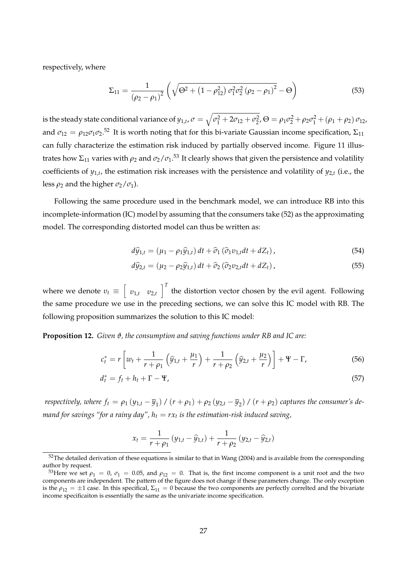respectively, where

$$
\Sigma_{11} = \frac{1}{\left(\rho_2 - \rho_1\right)^2} \left(\sqrt{\Theta^2 + \left(1 - \rho_{12}^2\right) \sigma_1^2 \sigma_2^2 \left(\rho_2 - \rho_1\right)^2} - \Theta\right)
$$
(53)

is the steady state conditional variance of  $y_{1,t}$ ,  $\sigma=\sqrt{\sigma_1^2+2\sigma_{12}+\sigma_2^2}$ ,  $\Theta=\rho_1\sigma_2^2+\rho_2\sigma_1^2+(\rho_1+\rho_2)\,\sigma_{12}$ , and  $\sigma_{12} = \rho_{12}\sigma_1\sigma_2$ .<sup>52</sup> It is worth noting that for this bi-variate Gaussian income specification,  $\Sigma_{11}$ can fully characterize the estimation risk induced by partially observed income. Figure 11 illustrates how  $\Sigma_{11}$  varies with  $\rho_2$  and  $\sigma_2/\sigma_1$ .<sup>53</sup> It clearly shows that given the persistence and volatility coefficients of *y*1,*<sup>t</sup>* , the estimation risk increases with the persistence and volatility of *y*2,*<sup>t</sup>* (i.e., the less  $\rho_2$  and the higher  $\sigma_2/\sigma_1$ ).

Following the same procedure used in the benchmark model, we can introduce RB into this incomplete-information (IC) model by assuming that the consumers take (52) as the approximating model. The corresponding distorted model can thus be written as:

$$
d\hat{y}_{1,t} = (\mu_1 - \rho_1 \hat{y}_{1,t}) dt + \hat{\sigma}_1 (\hat{\sigma}_1 v_{1,t} dt + dZ_t), \qquad (54)
$$

$$
d\hat{y}_{2,t} = (\mu_2 - \rho_2 \hat{y}_{1,t}) dt + \hat{\sigma}_2 (\hat{\sigma}_2 v_{2,t} dt + dZ_t), \qquad (55)
$$

where we denote  $v_t \equiv \begin{bmatrix} v_{1,t} & v_{2,t} \end{bmatrix}$  $\int_0^T$  the distortion vector chosen by the evil agent. Following the same procedure we use in the preceding sections, we can solve this IC model with RB. The following proposition summarizes the solution to this IC model:

**Proposition 12.** *Given ϑ, the consumption and saving functions under RB and IC are:*

$$
c_t^* = r \left[ w_t + \frac{1}{r + \rho_1} \left( \hat{y}_{1,t} + \frac{\mu_1}{r} \right) + \frac{1}{r + \rho_2} \left( \hat{y}_{2,t} + \frac{\mu_2}{r} \right) \right] + \Psi - \Gamma, \tag{56}
$$

$$
d_t^* = f_t + h_t + \Gamma - \Psi,\tag{57}
$$

*respectively, where*  $f_t = \rho_1 (y_{1,t} - \overline{y}_1) / (r + \rho_1) + \rho_2 (y_{2,t} - \overline{y}_2) / (r + \rho_2)$  *captures the consumer's de* $m$ and for savings "for a rainy day",  $h_t = r x_t$  is the estimation-risk induced saving,

$$
x_t = \frac{1}{r + \rho_1} (y_{1,t} - \widehat{y}_{1,t}) + \frac{1}{r + \rho_2} (y_{2,t} - \widehat{y}_{2,t})
$$

 $52$ The detailed derivation of these equations is similar to that in Wang (2004) and is available from the corresponding author by request.

<sup>&</sup>lt;sup>53</sup>Here we set  $\rho_1 = 0$ ,  $\sigma_1 = 0.05$ , and  $\rho_{12} = 0$ . That is, the first income component is a unit root and the two components are independent. The pattern of the figure does not change if these parameters change. The only exception is the  $\rho_{12} = \pm 1$  case. In this specifical,  $\Sigma_{11} = 0$  because the two components are perfectly correlted and the bivariate income specificaiton is essentially the same as the univariate income specification.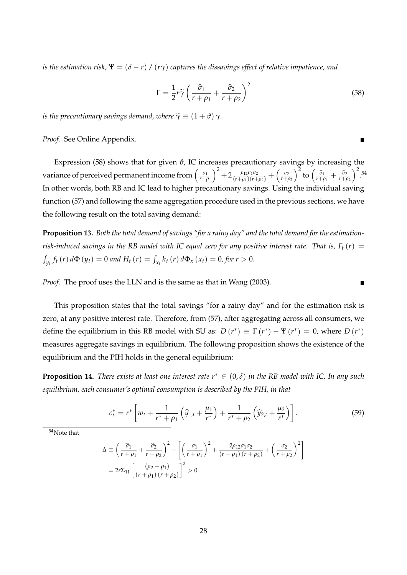*is the estimation risk,*  $\Psi = (\delta - r) / (r\gamma)$  *captures the dissavings effect of relative impatience, and* 

$$
\Gamma = \frac{1}{2}r\tilde{\gamma}\left(\frac{\hat{\sigma}_1}{r+\rho_1} + \frac{\hat{\sigma}_2}{r+\rho_2}\right)^2
$$
\n(58)

П

*is the precautionary savings demand, where*  $\tilde{\gamma} \equiv (1 + \vartheta) \gamma$ *.* 

*Proof.* See Online Appendix.

Expression (58) shows that for given *ϑ*, IC increases precautionary savings by increasing the variance of perceived permanent income from  $\left(\frac{\sigma_1}{r+d}\right)$ *r*+*ρ*<sup>1</sup>  $\int^{2} + 2 \frac{\rho_{12}\sigma_{1}\sigma_{2}}{(r+\rho_{1})(r+\rho_{2})} + \left(\frac{\sigma_{2}}{r+\rho_{2}}\right)$ *r*+*ρ*<sup>2</sup>  $\int^2$  to  $\left(\frac{\widehat{\sigma}_1}{r+\rho_1} + \frac{\widehat{\sigma}_2}{r+\rho_2}\right)$  $\big)^2$ . 54 In other words, both RB and IC lead to higher precautionary savings. Using the individual saving function (57) and following the same aggregation procedure used in the previous sections, we have the following result on the total saving demand:

**Proposition 13.** *Both the total demand of savings "for a rainy day" and the total demand for the estimationrisk-induced savings in the RB model with IC equal zero for any positive interest rate. That is,*  $F_t(r)$  *=*  $\int_{y_t} f_t(r) d\Phi(y_t) = 0$  and  $H_t(r) = \int_{x_t} h_t(r) d\Phi_x(x_t) = 0$ , for  $r > 0$ .

*Proof.* The proof uses the LLN and is the same as that in Wang (2003).

This proposition states that the total savings "for a rainy day" and for the estimation risk is zero, at any positive interest rate. Therefore, from (57), after aggregating across all consumers, we define the equilibrium in this RB model with SU as:  $D(r^*) \equiv \Gamma(r^*) - \Psi(r^*) = 0$ , where  $D(r^*)$ measures aggregate savings in equilibrium. The following proposition shows the existence of the equilibrium and the PIH holds in the general equilibrium:

**Proposition 14.** *There exists at least one interest rate r*<sup>∗</sup> ∈ (0, *δ*) *in the RB model with IC. In any such equilibrium, each consumer's optimal consumption is described by the PIH, in that*

$$
c_t^* = r^* \left[ w_t + \frac{1}{r^* + \rho_1} \left( \widehat{y}_{1,t} + \frac{\mu_1}{r^*} \right) + \frac{1}{r^* + \rho_2} \left( \widehat{y}_{2,t} + \frac{\mu_2}{r^*} \right) \right]. \tag{59}
$$

<sup>54</sup>Note that

$$
\Delta \equiv \left(\frac{\hat{\sigma}_1}{r+\rho_1} + \frac{\hat{\sigma}_2}{r+\rho_2}\right)^2 - \left[\left(\frac{\sigma_1}{r+\rho_1}\right)^2 + \frac{2\rho_{12}\sigma_1\sigma_2}{(r+\rho_1)(r+\rho_2)} + \left(\frac{\sigma_2}{r+\rho_2}\right)^2\right]
$$
  
=  $2r\Sigma_{11} \left[\frac{(\rho_2-\rho_1)}{(r+\rho_1)(r+\rho_2)}\right]^2 > 0.$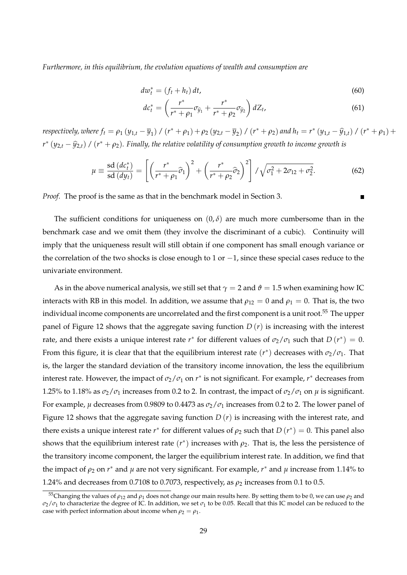*Furthermore, in this equilibrium, the evolution equations of wealth and consumption are*

$$
dw_t^* = (f_t + h_t) dt, \tag{60}
$$

$$
dc_t^* = \left(\frac{r^*}{r^* + \rho_1} \sigma_{\widehat{y}_1} + \frac{r^*}{r^* + \rho_2} \sigma_{\widehat{y}_2}\right) dZ_t, \tag{61}
$$

respectively, where  $f_t = \rho_1 (y_{1,t} - \overline{y}_1) / (r^* + \rho_1) + \rho_2 (y_{2,t} - \overline{y}_2) / (r^* + \rho_2)$  and  $h_t = r^* (y_{1,t} - \widehat{y}_{1,t}) / (r^* + \rho_1) +$  $r^*(y_{2,t} - \widehat{y}_{2,t})$  /  $(r^* + \rho_2)$ . Finally, the relative volatility of consumption growth to income growth is

$$
\mu \equiv \frac{\mathrm{sd}\,(dc_t^*)}{\mathrm{sd}\,(dy_t)} = \left[ \left( \frac{r^*}{r^* + \rho_1} \widehat{\sigma}_1 \right)^2 + \left( \frac{r^*}{r^* + \rho_2} \widehat{\sigma}_2 \right)^2 \right] / \sqrt{\sigma_1^2 + 2\sigma_{12} + \sigma_2^2}.\tag{62}
$$

*Proof.* The proof is the same as that in the benchmark model in Section 3.

The sufficient conditions for uniqueness on  $(0, \delta)$  are much more cumbersome than in the benchmark case and we omit them (they involve the discriminant of a cubic). Continuity will imply that the uniqueness result will still obtain if one component has small enough variance or the correlation of the two shocks is close enough to 1 or −1, since these special cases reduce to the univariate environment.

As in the above numerical analysis, we still set that  $\gamma = 2$  and  $\vartheta = 1.5$  when examining how IC interacts with RB in this model. In addition, we assume that  $\rho_{12} = 0$  and  $\rho_1 = 0$ . That is, the two individual income components are uncorrelated and the first component is a unit root.<sup>55</sup> The upper panel of Figure 12 shows that the aggregate saving function  $D(r)$  is increasing with the interest rate, and there exists a unique interest rate  $r^*$  for different values of  $\sigma_2/\sigma_1$  such that  $D(r^*)=0$ . From this figure, it is clear that that the equilibrium interest rate  $(r^*)$  decreases with  $\sigma_2/\sigma_1$ . That is, the larger the standard deviation of the transitory income innovation, the less the equilibrium interest rate. However, the impact of  $\sigma_2/\sigma_1$  on  $r^*$  is not significant. For example,  $r^*$  decreases from 1.25% to 1.18% as  $\sigma_2/\sigma_1$  increases from 0.2 to 2. In contrast, the impact of  $\sigma_2/\sigma_1$  on  $\mu$  is significant. For example,  $\mu$  decreases from 0.9809 to 0.4473 as  $\sigma$ <sub>2</sub>/ $\sigma$ <sub>1</sub> increases from 0.2 to 2. The lower panel of Figure 12 shows that the aggregate saving function *D* (*r*) is increasing with the interest rate, and there exists a unique interest rate *r*<sup>\*</sup> for different values of  $ρ$ <sub>2</sub> such that  $D(r^*) = 0$ . This panel also shows that the equilibrium interest rate  $(r^*)$  increases with  $\rho_2$ . That is, the less the persistence of the transitory income component, the larger the equilibrium interest rate. In addition, we find that the impact of *ρ*<sup>2</sup> on *r* ∗ and *µ* are not very significant. For example, *r* ∗ and *µ* increase from 1.14% to 1.24% and decreases from 0.7108 to 0.7073, respectively, as  $\rho_2$  increases from 0.1 to 0.5.

 $^{55}$ Changing the values of  $\rho_{12}$  and  $\rho_1$  does not change our main results here. By setting them to be 0, we can use  $\rho_2$  and  $\sigma_2/\sigma_1$  to characterize the degree of IC. In addition, we set  $\sigma_1$  to be 0.05. Recall that this IC model can be reduced to the case with perfect information about income when  $\rho_2 = \rho_1$ .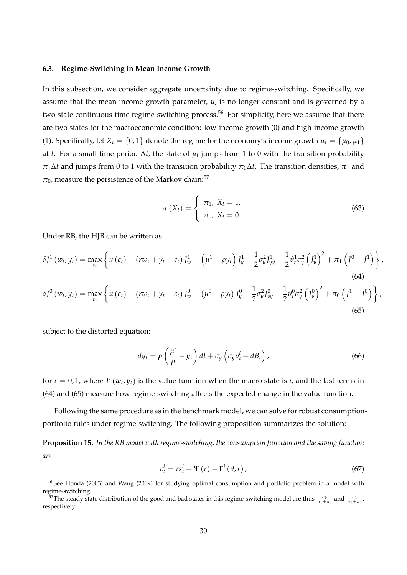#### **6.3. Regime-Switching in Mean Income Growth**

In this subsection, we consider aggregate uncertainty due to regime-switching. Specifically, we assume that the mean income growth parameter,  $\mu$ , is no longer constant and is governed by a two-state continuous-time regime-switching process.<sup>56</sup> For simplicity, here we assume that there are two states for the macroeconomic condition: low-income growth (0) and high-income growth (1). Specifically, let  $X_t = \{0, 1\}$  denote the regime for the economy's income growth  $\mu_t = \{\mu_0, \mu_1\}$ at *t*. For a small time period ∆*t*, the state of *µ<sup>t</sup>* jumps from 1 to 0 with the transition probability  $\pi_1 \Delta t$  and jumps from 0 to 1 with the transition probability  $\pi_0 \Delta t$ . The transition densities,  $\pi_1$  and  $\pi_0$ , measure the persistence of the Markov chain:<sup>57</sup>

$$
\pi(X_t) = \begin{cases} \pi_1, X_t = 1, \\ \pi_0, X_t = 0. \end{cases}
$$
\n(63)

Under RB, the HJB can be written as

$$
\delta J^{1}(w_{t}, y_{t}) = \max_{c_{t}} \left\{ u(c_{t}) + (rw_{t} + y_{t} - c_{t}) J_{w}^{1} + \left(\mu^{1} - \rho y_{t}\right) J_{y}^{1} + \frac{1}{2} \sigma_{y}^{2} J_{yy}^{1} - \frac{1}{2} \vartheta_{t}^{1} \sigma_{y}^{2} \left(J_{y}^{1}\right)^{2} + \pi_{1} \left(J^{0} - J^{1}\right) \right\},
$$
\n
$$
\delta J^{0}(w_{t}, y_{t}) = \max \left\{ u(c_{t}) + (rw_{t} + y_{t} - c_{t}) J_{w}^{0} + \left(\mu^{0} - \rho y_{t}\right) J_{y}^{0} + \frac{1}{2} \sigma_{y}^{2} J_{yy}^{0} - \frac{1}{2} \vartheta_{t}^{0} \sigma_{y}^{2} \left(J_{y}^{0}\right)^{2} + \pi_{0} \left(J^{1} - J^{0}\right) \right\},
$$
\n(64)

$$
\delta J^0(w_t, y_t) = \max_{c_t} \left\{ u(c_t) + (rw_t + y_t - c_t) J^0_w + (\mu^0 - \rho y_t) J^0_y + \frac{1}{2} \sigma_y^2 J^0_{yy} - \frac{1}{2} \theta_t^0 \sigma_y^2 (\int_y^0)^2 + \pi_0 (\int_y^1 - \int_y^0) \right\}.
$$
\n(65)

subject to the distorted equation:

$$
dy_t = \rho \left(\frac{\mu^i}{\rho} - y_t\right) dt + \sigma_y \left(\sigma_y v_t^i + dB_t\right),\tag{66}
$$

for  $i = 0, 1$ , where  $J^i(w_t, y_t)$  is the value function when the macro state is  $i$ , and the last terms in (64) and (65) measure how regime-switching affects the expected change in the value function.

Following the same procedure as in the benchmark model, we can solve for robust consumptionportfolio rules under regime-switching. The following proposition summarizes the solution:

**Proposition 15.** *In the RB model with regime-switching, the consumption function and the saving function are*

$$
c_t^i = rs_t^i + \Psi(r) - \Gamma^i\left(\vartheta, r\right),\tag{67}
$$

<sup>&</sup>lt;sup>56</sup>See Honda (2003) and Wang (2009) for studying optimal consumption and portfolio problem in a model with regime-switching.

<sup>&</sup>lt;sup>57</sup>The steady state distribution of the good and bad states in this regime-switching model are thus  $\frac{\pi_0}{\pi_1+\pi_0}$  and  $\frac{\pi_1}{\pi_1+\pi_0}$ , respectively.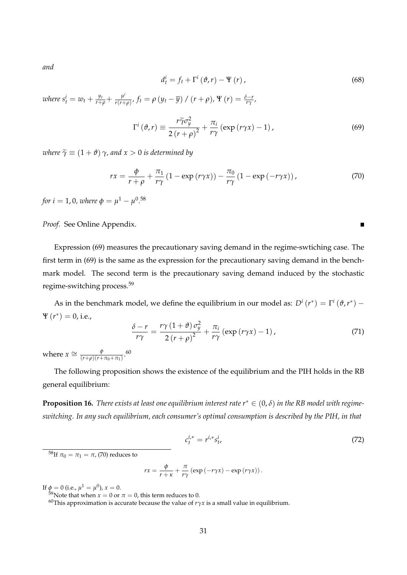*and*

$$
d_t^i = f_t + \Gamma^i \left( \vartheta, r \right) - \Psi \left( r \right), \tag{68}
$$

 $\blacksquare$ 

*where*  $s_t^i = w_t + \frac{y_t}{r+\rho} + \frac{\mu^i}{r(r+\rho)}$  $\frac{\mu^t}{r(r+\rho)},$   $f_t = \rho \left( y_t - \overline{y} \right) / \left( r + \rho \right)$ ,  $\Psi \left( r \right) = \frac{\delta - r}{r\gamma},$ 

$$
\Gamma^{i}(\vartheta,r) \equiv \frac{r\tilde{\gamma}\sigma_{y}^{2}}{2\left(r+\rho\right)^{2}} + \frac{\pi_{i}}{r\gamma}\left(\exp\left(r\gamma x\right) - 1\right),\tag{69}
$$

*where*  $\tilde{\gamma} \equiv (1 + \vartheta) \gamma$ *, and*  $x > 0$  *is determined by* 

$$
rx = \frac{\phi}{r+\rho} + \frac{\pi_1}{r\gamma} \left(1 - \exp\left(r\gamma x\right)\right) - \frac{\pi_0}{r\gamma} \left(1 - \exp\left(-r\gamma x\right)\right),\tag{70}
$$

*for*  $i = 1, 0$ *, where*  $\phi = \mu^1 - \mu^{0.58}$ 

*Proof.* See Online Appendix.

Expression (69) measures the precautionary saving demand in the regime-swtiching case. The first term in (69) is the same as the expression for the precautionary saving demand in the benchmark model. The second term is the precautionary saving demand induced by the stochastic regime-switching process.<sup>59</sup>

As in the benchmark model, we define the equilibrium in our model as:  $D^i(r^*) = \Gamma^i(\vartheta, r^*)$  $\Psi(r^*) = 0$ , i.e.,

$$
\frac{\delta - r}{r\gamma} = \frac{r\gamma \left(1 + \vartheta\right) \sigma_y^2}{2 \left(r + \rho\right)^2} + \frac{\pi_i}{r\gamma} \left(\exp\left(r\gamma x\right) - 1\right),\tag{71}
$$

where  $x \cong \frac{\phi}{(r+a)(r+a)}$  $\frac{\phi}{(r+\rho)(r+\pi_0+\pi_1)}$ .<sup>60</sup>

The following proposition shows the existence of the equilibrium and the PIH holds in the RB general equilibrium:

**Proposition 16.** *There exists at least one equilibrium interest rate*  $r^* \in (0, \delta)$  *in the RB model with regimeswitching. In any such equilibrium, each consumer's optimal consumption is described by the PIH, in that*

$$
c_t^{i,*} = r^{i,*} s_t^i,
$$
\n(72)

<sup>58</sup>If  $π_0 = π_1 = π$ , (70) reduces to

$$
rx = \frac{\phi}{r+\kappa} + \frac{\pi}{r\gamma} \left( \exp\left(-r\gamma x\right) - \exp\left(r\gamma x\right) \right).
$$

If  $\phi = 0$  (i.e.,  $\mu^1 = \mu^0$ ),  $x = 0$ .

<sup>60</sup>This approximation is accurate because the value of  $r\gamma x$  is a small value in equilibrium.

<sup>&</sup>lt;sup>59</sup>Note that when  $x = 0$  or  $\pi = 0$ , this term reduces to 0.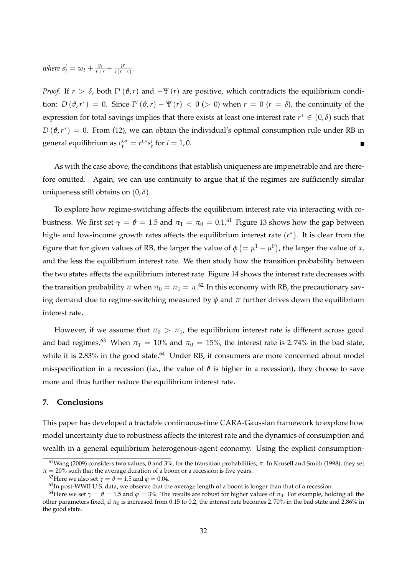*where*  $s_t^i = w_t + \frac{y_t}{r+\kappa} + \frac{\mu^i}{r(r+\kappa)}$  $\frac{\mu}{r(r+\kappa)}$ .

*Proof.* If  $r > \delta$ , both  $\Gamma^i(\vartheta, r)$  and  $-\Psi(r)$  are positive, which contradicts the equilibrium condition:  $D(\vartheta, r^*) = 0$ . Since  $\Gamma^i(\vartheta, r) - \Psi(r) < 0$  (> 0) when  $r = 0$  ( $r = \delta$ ), the continuity of the expression for total savings implies that there exists at least one interest rate  $r^* \in (0,\delta)$  such that  $D\left(\vartheta,r^{*}\right)\,=\,0.$  From (12), we can obtain the individual's optimal consumption rule under RB in general equilibrium as  $c_t^{i,*} = r^{i,*} s_t^i$  for  $i = 1, 0$ .

As with the case above, the conditions that establish uniqueness are impenetrable and are therefore omitted. Again, we can use continuity to argue that if the regimes are sufficiently similar uniqueness still obtains on  $(0, \delta)$ .

To explore how regime-switching affects the equilibrium interest rate via interacting with robustness. We first set  $\gamma = \vartheta = 1.5$  and  $\pi_1 = \pi_0 = 0.1$ .<sup>61</sup> Figure 13 shows how the gap between high- and low-income growth rates affects the equilibrium interest rate (*r* ∗ ). It is clear from the figure that for given values of RB, the larger the value of  $\phi$  (=  $\mu^1 - \mu^0$ ), the larger the value of *x*, and the less the equilibrium interest rate. We then study how the transition probability between the two states affects the equilibrium interest rate. Figure 14 shows the interest rate decreases with the transition probability  $\pi$  when  $\pi_0 = \pi_1 = \pi^{.62}$  In this economy with RB, the precautionary saving demand due to regime-switching measured by  $\phi$  and  $\pi$  further drives down the equilibrium interest rate.

However, if we assume that  $\pi_0 > \pi_1$ , the equilibrium interest rate is different across good and bad regimes.<sup>63</sup> When  $\pi_1 = 10\%$  and  $\pi_0 = 15\%$ , the interest rate is 2.74% in the bad state, while it is  $2.83\%$  in the good state.<sup>64</sup> Under RB, if consumers are more concerned about model misspecification in a recession (i.e., the value of  $\vartheta$  is higher in a recession), they choose to save more and thus further reduce the equilibrium interest rate.

## **7. Conclusions**

This paper has developed a tractable continuous-time CARA-Gaussian framework to explore how model uncertainty due to robustness affects the interest rate and the dynamics of consumption and wealth in a general equilibrium heterogenous-agent economy. Using the explicit consumption-

<sup>&</sup>lt;sup>61</sup>Wang (2009) considers two values, 0 and 3%, for the transition probabilities,  $π$ . In Krusell and Smith (1998), they set  $\pi = 20\%$  such that the average duration of a boom or a recession is five years.

<sup>&</sup>lt;sup>62</sup>Here we also set  $\gamma = \theta = 1.5$  and  $\phi = 0.04$ .

 $63$ In post-WWII U.S. data, we observe that the average length of a boom is longer than that of a recession.

<sup>&</sup>lt;sup>64</sup>Here we set  $\gamma = \theta = 1.5$  and  $\varphi = 3\%$ . The results are robust for higher values of  $\pi_0$ . For example, holding all the other parameters fixed, if  $\pi_0$  is increased from 0.15 to 0.2, the interest rate becomes 2.70% in the bad state and 2.86% in the good state.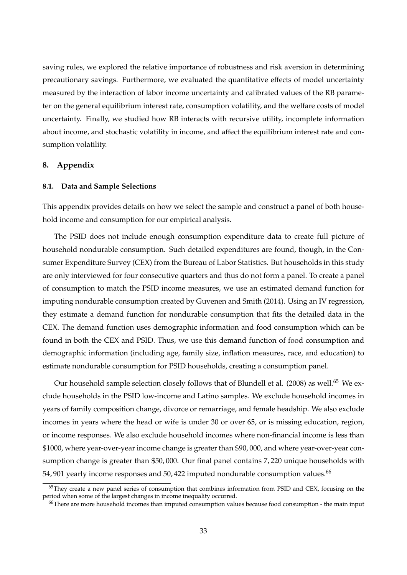saving rules, we explored the relative importance of robustness and risk aversion in determining precautionary savings. Furthermore, we evaluated the quantitative effects of model uncertainty measured by the interaction of labor income uncertainty and calibrated values of the RB parameter on the general equilibrium interest rate, consumption volatility, and the welfare costs of model uncertainty. Finally, we studied how RB interacts with recursive utility, incomplete information about income, and stochastic volatility in income, and affect the equilibrium interest rate and consumption volatility.

## **8. Appendix**

#### **8.1. Data and Sample Selections**

This appendix provides details on how we select the sample and construct a panel of both household income and consumption for our empirical analysis.

The PSID does not include enough consumption expenditure data to create full picture of household nondurable consumption. Such detailed expenditures are found, though, in the Consumer Expenditure Survey (CEX) from the Bureau of Labor Statistics. But households in this study are only interviewed for four consecutive quarters and thus do not form a panel. To create a panel of consumption to match the PSID income measures, we use an estimated demand function for imputing nondurable consumption created by Guvenen and Smith (2014). Using an IV regression, they estimate a demand function for nondurable consumption that fits the detailed data in the CEX. The demand function uses demographic information and food consumption which can be found in both the CEX and PSID. Thus, we use this demand function of food consumption and demographic information (including age, family size, inflation measures, race, and education) to estimate nondurable consumption for PSID households, creating a consumption panel.

Our household sample selection closely follows that of Blundell et al. (2008) as well.<sup>65</sup> We exclude households in the PSID low-income and Latino samples. We exclude household incomes in years of family composition change, divorce or remarriage, and female headship. We also exclude incomes in years where the head or wife is under 30 or over 65, or is missing education, region, or income responses. We also exclude household incomes where non-financial income is less than \$1000, where year-over-year income change is greater than \$90, 000, and where year-over-year consumption change is greater than \$50, 000. Our final panel contains 7, 220 unique households with 54, 901 yearly income responses and 50, 422 imputed nondurable consumption values.<sup>66</sup>

 $65$ They create a new panel series of consumption that combines information from PSID and CEX, focusing on the period when some of the largest changes in income inequality occurred.

<sup>&</sup>lt;sup>66</sup>There are more household incomes than imputed consumption values because food consumption - the main input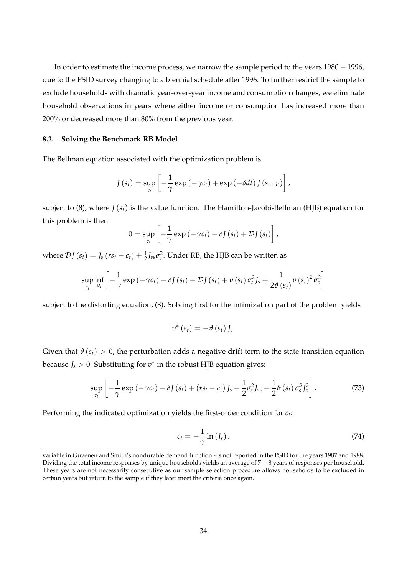In order to estimate the income process, we narrow the sample period to the years 1980 − 1996, due to the PSID survey changing to a biennial schedule after 1996. To further restrict the sample to exclude households with dramatic year-over-year income and consumption changes, we eliminate household observations in years where either income or consumption has increased more than 200% or decreased more than 80% from the previous year.

#### **8.2. Solving the Benchmark RB Model**

The Bellman equation associated with the optimization problem is

$$
J(s_t) = \sup_{c_t} \left[ -\frac{1}{\gamma} \exp \left( -\gamma c_t \right) + \exp \left( -\delta dt \right) J(s_{t+dt}) \right],
$$

subject to (8), where *J* (*st*) is the value function. The Hamilton-Jacobi-Bellman (HJB) equation for this problem is then

$$
0 = \sup_{c_t} \left[ -\frac{1}{\gamma} \exp \left( -\gamma c_t \right) - \delta J \left( s_t \right) + \mathcal{D} J \left( s_t \right) \right],
$$

where  $\mathcal{D}J(s_t) = J_s(r s_t - c_t) + \frac{1}{2} J_{ss} \sigma_s^2$ . Under RB, the HJB can be written as

$$
\sup_{c_t} \inf_{v_t} \left[ -\frac{1}{\gamma} \exp \left( -\gamma c_t \right) - \delta J \left( s_t \right) + \mathcal{D} J \left( s_t \right) + v \left( s_t \right) \sigma_s^2 J_s + \frac{1}{2 \vartheta \left( s_t \right)} v \left( s_t \right)^2 \sigma_s^2 \right]
$$

subject to the distorting equation, (8). Solving first for the infimization part of the problem yields

$$
v^*(s_t)=-\vartheta\left(s_t\right)J_s.
$$

Given that  $\vartheta(s_t) > 0$ , the perturbation adds a negative drift term to the state transition equation because *J<sup>s</sup>* > 0. Substituting for *υ* ∗ in the robust HJB equation gives:

$$
\sup_{c_t} \left[ -\frac{1}{\gamma} \exp\left( -\gamma c_t \right) - \delta J\left( s_t \right) + \left( r s_t - c_t \right) J_s + \frac{1}{2} \sigma_s^2 J_{ss} - \frac{1}{2} \vartheta\left( s_t \right) \sigma_s^2 J_s^2 \right]. \tag{73}
$$

Performing the indicated optimization yields the first-order condition for *c<sup>t</sup>* :

$$
c_t = -\frac{1}{\gamma} \ln \left( J_s \right). \tag{74}
$$

variable in Guvenen and Smith's nondurable demand function - is not reported in the PSID for the years 1987 and 1988. Dividing the total income responses by unique households yields an average of 7 − 8 years of responses per household. These years are not necessarily consecutive as our sample selection procedure allows households to be excluded in certain years but return to the sample if they later meet the criteria once again.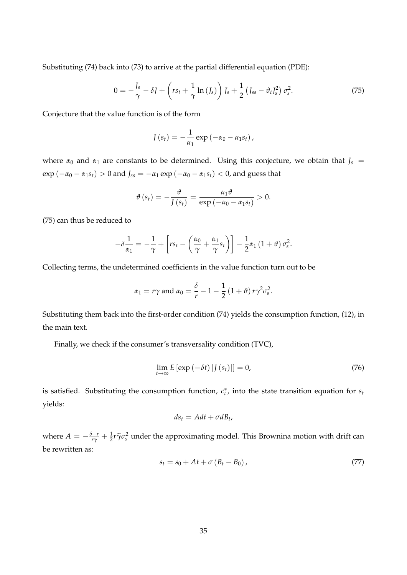Substituting (74) back into (73) to arrive at the partial differential equation (PDE):

$$
0 = -\frac{J_s}{\gamma} - \delta J + \left( rs_t + \frac{1}{\gamma} \ln \left( J_s \right) \right) J_s + \frac{1}{2} \left( J_{ss} - \vartheta_t J_s^2 \right) \sigma_s^2. \tag{75}
$$

Conjecture that the value function is of the form

$$
J(s_t) = -\frac{1}{\alpha_1} \exp(-\alpha_0 - \alpha_1 s_t),
$$

where  $\alpha_0$  and  $\alpha_1$  are constants to be determined. Using this conjecture, we obtain that  $J_s$  = exp ( $-\alpha_0 - \alpha_1 s_t$ ) > 0 and  $J_{ss} = -\alpha_1 \exp(-\alpha_0 - \alpha_1 s_t) < 0$ , and guess that

$$
\vartheta\left(s_{t}\right)=-\frac{\vartheta}{\int\left(s_{t}\right)}=\frac{\alpha_{1}\vartheta}{\exp\left(-\alpha_{0}-\alpha_{1}s_{t}\right)}>0.
$$

(75) can thus be reduced to

$$
-\delta \frac{1}{\alpha_1} = -\frac{1}{\gamma} + \left[ rs_t - \left( \frac{\alpha_0}{\gamma} + \frac{\alpha_1}{\gamma} s_t \right) \right] - \frac{1}{2} \alpha_1 \left( 1 + \vartheta \right) \sigma_s^2.
$$

Collecting terms, the undetermined coefficients in the value function turn out to be

$$
\alpha_1 = r\gamma
$$
 and  $\alpha_0 = \frac{\delta}{r} - 1 - \frac{1}{2} (1 + \vartheta) r \gamma^2 \sigma_s^2$ .

Substituting them back into the first-order condition (74) yields the consumption function, (12), in the main text.

Finally, we check if the consumer's transversality condition (TVC),

$$
\lim_{t \to \infty} E\left[\exp\left(-\delta t\right) |J\left(s_t\right)|\right] = 0,\tag{76}
$$

is satisfied. Substituting the consumption function,  $c_t^*$ , into the state transition equation for  $s_t$ yields:

$$
ds_t = A dt + \sigma dB_t,
$$

where  $A = -\frac{\delta-r}{r\gamma} + \frac{1}{2}r\tilde{\gamma}\sigma_s^2$  under the approximating model. This Brownina motion with drift can be rewritten as:

$$
s_t = s_0 + At + \sigma (B_t - B_0), \qquad (77)
$$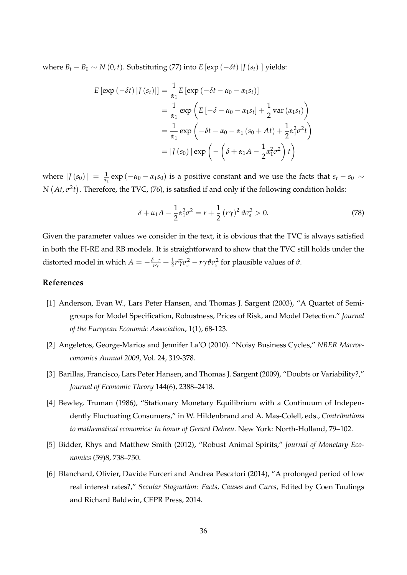where  $B_t - B_0 \sim N(0, t)$ . Substituting (77) into  $E [\exp(-\delta t) | J(s_t)|]$  yields:

$$
E\left[\exp\left(-\delta t\right)|J\left(s_{t}\right)\right]\right] = \frac{1}{\alpha_{1}}E\left[\exp\left(-\delta t - \alpha_{0} - \alpha_{1}s_{t}\right)\right]
$$

$$
= \frac{1}{\alpha_{1}}\exp\left(E\left[-\delta - \alpha_{0} - \alpha_{1}s_{t}\right] + \frac{1}{2}\operatorname{var}\left(\alpha_{1}s_{t}\right)\right)
$$

$$
= \frac{1}{\alpha_{1}}\exp\left(-\delta t - \alpha_{0} - \alpha_{1}\left(s_{0} + At\right) + \frac{1}{2}\alpha_{1}^{2}\sigma^{2}t\right)
$$

$$
= |J\left(s_{0}\right)|\exp\left(-\left(\delta + \alpha_{1}A - \frac{1}{2}\alpha_{1}^{2}\sigma^{2}\right)t\right)
$$

where  $|J(s_0)| = \frac{1}{\alpha_1} \exp(-\alpha_0 - \alpha_1 s_0)$  is a positive constant and we use the facts that  $s_t - s_0 \sim$ *N*  $(At, \sigma^2 t)$ . Therefore, the TVC, (76), is satisfied if and only if the following condition holds:

$$
\delta + \alpha_1 A - \frac{1}{2} \alpha_1^2 \sigma^2 = r + \frac{1}{2} (r\gamma)^2 \vartheta \sigma_s^2 > 0.
$$
 (78)

Given the parameter values we consider in the text, it is obvious that the TVC is always satisfied in both the FI-RE and RB models. It is straightforward to show that the TVC still holds under the distorted model in which  $A = -\frac{\delta-r}{r\gamma} + \frac{1}{2}r\widetilde{\gamma}\sigma_s^2 - r\gamma\vartheta\sigma_s^2$  for plausible values of  $\vartheta$ .

## **References**

- [1] Anderson, Evan W., Lars Peter Hansen, and Thomas J. Sargent (2003), "A Quartet of Semigroups for Model Specification, Robustness, Prices of Risk, and Model Detection." *Journal of the European Economic Association*, 1(1), 68-123.
- [2] Angeletos, George-Marios and Jennifer La'O (2010). "Noisy Business Cycles," *NBER Macroeconomics Annual 2009*, Vol. 24, 319-378.
- [3] Barillas, Francisco, Lars Peter Hansen, and Thomas J. Sargent (2009), "Doubts or Variability?," *Journal of Economic Theory* 144(6), 2388–2418.
- [4] Bewley, Truman (1986), "Stationary Monetary Equilibrium with a Continuum of Independently Fluctuating Consumers," in W. Hildenbrand and A. Mas-Colell, eds., *Contributions to mathematical economics: In honor of Gerard Debreu*. New York: North-Holland, 79–102.
- [5] Bidder, Rhys and Matthew Smith (2012), "Robust Animal Spirits," *Journal of Monetary Economics* (59)8, 738–750.
- [6] Blanchard, Olivier, Davide Furceri and Andrea Pescatori (2014), "A prolonged period of low real interest rates?," *Secular Stagnation: Facts, Causes and Cures*, Edited by Coen Tuulings and Richard Baldwin, CEPR Press, 2014.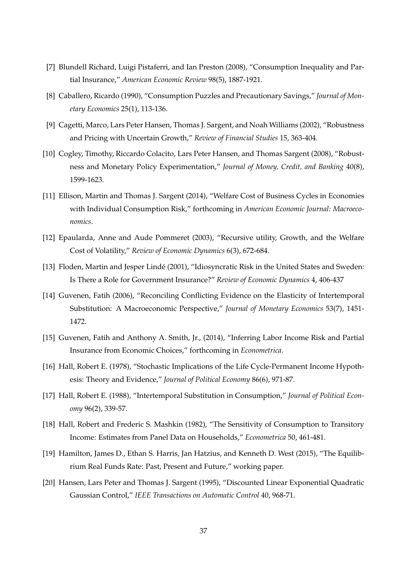- [7] Blundell Richard, Luigi Pistaferri, and Ian Preston (2008), "Consumption Inequality and Partial Insurance," *American Economic Review* 98(5), 1887-1921.
- [8] Caballero, Ricardo (1990), "Consumption Puzzles and Precautionary Savings," *Journal of Monetary Economics* 25(1), 113-136.
- [9] Cagetti, Marco, Lars Peter Hansen, Thomas J. Sargent, and Noah Williams (2002), "Robustness and Pricing with Uncertain Growth," *Review of Financial Studies* 15, 363-404.
- [10] Cogley, Timothy, Riccardo Colacito, Lars Peter Hansen, and Thomas Sargent (2008), "Robustness and Monetary Policy Experimentation," *Journal of Money, Credit, and Banking* 40(8), 1599-1623.
- [11] Ellison, Martin and Thomas J. Sargent (2014), "Welfare Cost of Business Cycles in Economies with Individual Consumption Risk," forthcoming in *American Economic Journal: Macroeconomics*.
- [12] Epaularda, Anne and Aude Pommeret (2003), "Recursive utility, Growth, and the Welfare Cost of Volatility," *Review of Economic Dynamics* 6(3), 672-684.
- [13] Floden, Martin and Jesper Lindé (2001), "Idiosyncratic Risk in the United States and Sweden: Is There a Role for Government Insurance?" *Review of Economic Dynamics* 4, 406-437
- [14] Guvenen, Fatih (2006), "Reconciling Conflicting Evidence on the Elasticity of Intertemporal Substitution: A Macroeconomic Perspective," *Journal of Monetary Economics* 53(7), 1451- 1472.
- [15] Guvenen, Fatih and Anthony A. Smith, Jr., (2014), "Inferring Labor Income Risk and Partial Insurance from Economic Choices," forthcoming in *Econometrica*.
- [16] Hall, Robert E. (1978), "Stochastic Implications of the Life Cycle-Permanent Income Hypothesis: Theory and Evidence," *Journal of Political Economy* 86(6), 971-87.
- [17] Hall, Robert E. (1988), "Intertemporal Substitution in Consumption," *Journal of Political Economy* 96(2), 339-57.
- [18] Hall, Robert and Frederic S. Mashkin (1982), "The Sensitivity of Consumption to Transitory Income: Estimates from Panel Data on Households," *Econometrica* 50, 461-481.
- [19] Hamilton, James D., Ethan S. Harris, Jan Hatzius, and Kenneth D. West (2015), "The Equilibrium Real Funds Rate: Past, Present and Future," working paper.
- [20] Hansen, Lars Peter and Thomas J. Sargent (1995), "Discounted Linear Exponential Quadratic Gaussian Control," *IEEE Transactions on Automatic Control* 40, 968-71.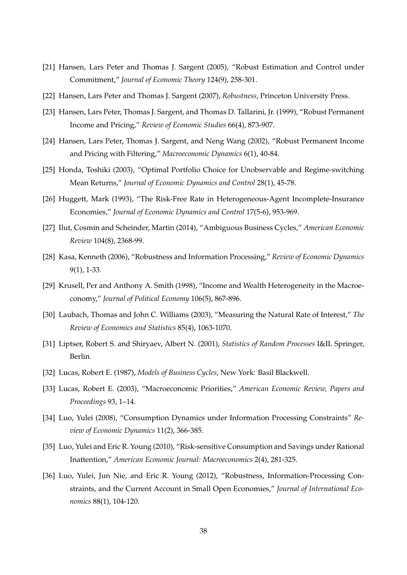- [21] Hansen, Lars Peter and Thomas J. Sargent (2005), "Robust Estimation and Control under Commitment," *Journal of Economic Theory* 124(9), 258-301.
- [22] Hansen, Lars Peter and Thomas J. Sargent (2007), *Robustness*, Princeton University Press.
- [23] Hansen, Lars Peter, Thomas J. Sargent, and Thomas D. Tallarini, Jr. (1999), "Robust Permanent Income and Pricing," *Review of Economic Studies* 66(4), 873-907.
- [24] Hansen, Lars Peter, Thomas J. Sargent, and Neng Wang (2002), "Robust Permanent Income and Pricing with Filtering," *Macroeconomic Dynamics* 6(1), 40-84.
- [25] Honda, Toshiki (2003), "Optimal Portfolio Choice for Unobservable and Regime-switching Mean Returns," *Journal of Economic Dynamics and Control* 28(1), 45-78.
- [26] Huggett, Mark (1993), "The Risk-Free Rate in Heterogeneous-Agent Incomplete-Insurance Economies," *Journal of Economic Dynamics and Control* 17(5-6), 953-969.
- [27] Ilut, Cosmin and Scheinder, Martin (2014), "Ambiguous Business Cycles," *American Economic Review* 104(8), 2368-99.
- [28] Kasa, Kenneth (2006), "Robustness and Information Processing," *Review of Economic Dynamics* 9(1), 1-33.
- [29] Krusell, Per and Anthony A. Smith (1998), "Income and Wealth Heterogeneity in the Macroeconomy," *Journal of Political Economy* 106(5), 867-896.
- [30] Laubach, Thomas and John C. Williams (2003), "Measuring the Natural Rate of Interest," *The Review of Economics and Statistics* 85(4), 1063-1070.
- [31] Liptser, Robert S. and Shiryaev, Albert N. (2001), *Statistics of Random Processes* I&II. Springer, Berlin.
- [32] Lucas, Robert E. (1987), *Models of Business Cycles*, New York: Basil Blackwell.
- [33] Lucas, Robert E. (2003), "Macroeconomic Priorities," *American Economic Review, Papers and Proceedings* 93, 1–14.
- [34] Luo, Yulei (2008), "Consumption Dynamics under Information Processing Constraints" *Review of Economic Dynamics* 11(2), 366-385.
- [35] Luo, Yulei and Eric R. Young (2010), "Risk-sensitive Consumption and Savings under Rational Inattention," *American Economic Journal: Macroeconomics* 2(4), 281-325.
- [36] Luo, Yulei, Jun Nie, and Eric R. Young (2012), "Robustness, Information-Processing Constraints, and the Current Account in Small Open Economies," *Journal of International Economics* 88(1), 104-120.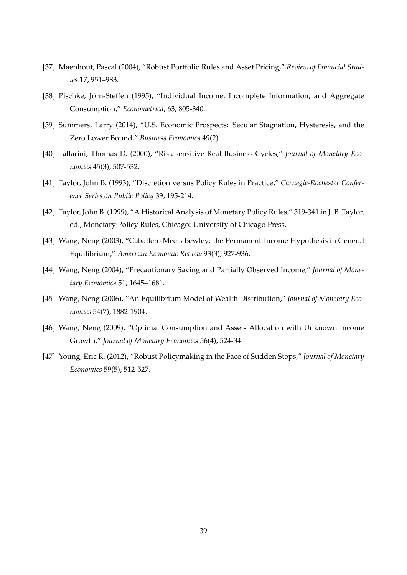- [37] Maenhout, Pascal (2004), "Robust Portfolio Rules and Asset Pricing," *Review of Financial Studies* 17, 951–983.
- [38] Pischke, Jörn-Steffen (1995), "Individual Income, Incomplete Information, and Aggregate Consumption," *Econometrica*, 63, 805-840.
- [39] Summers, Larry (2014), "U.S. Economic Prospects: Secular Stagnation, Hysteresis, and the Zero Lower Bound," *Business Economics* 49(2).
- [40] Tallarini, Thomas D. (2000), "Risk-sensitive Real Business Cycles," *Journal of Monetary Economics* 45(3), 507-532.
- [41] Taylor, John B. (1993), "Discretion versus Policy Rules in Practice," *Carnegie-Rochester Conference Series on Public Policy* 39, 195-214.
- [42] Taylor, John B. (1999), "A Historical Analysis of Monetary Policy Rules," 319-341 in J. B. Taylor, ed., Monetary Policy Rules, Chicago: University of Chicago Press.
- [43] Wang, Neng (2003), "Caballero Meets Bewley: the Permanent-Income Hypothesis in General Equilibrium," *American Economic Review* 93(3), 927-936.
- [44] Wang, Neng (2004), "Precautionary Saving and Partially Observed Income," *Journal of Monetary Economics* 51, 1645–1681.
- [45] Wang, Neng (2006), "An Equilibrium Model of Wealth Distribution," *Journal of Monetary Economics* 54(7), 1882-1904.
- [46] Wang, Neng (2009), "Optimal Consumption and Assets Allocation with Unknown Income Growth," *Journal of Monetary Economics* 56(4), 524-34.
- [47] Young, Eric R. (2012), "Robust Policymaking in the Face of Sudden Stops," *Journal of Monetary Economics* 59(5), 512-527.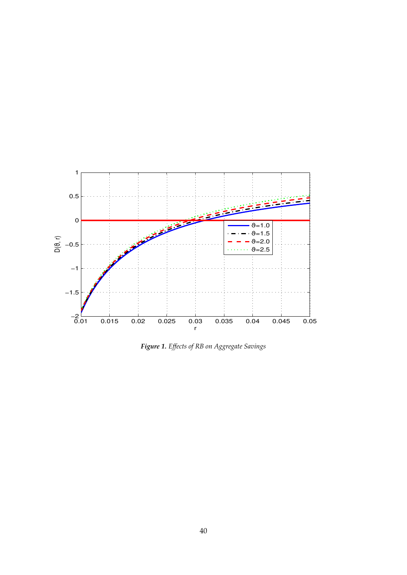

*Figure 1. Effects of RB on Aggregate Savings*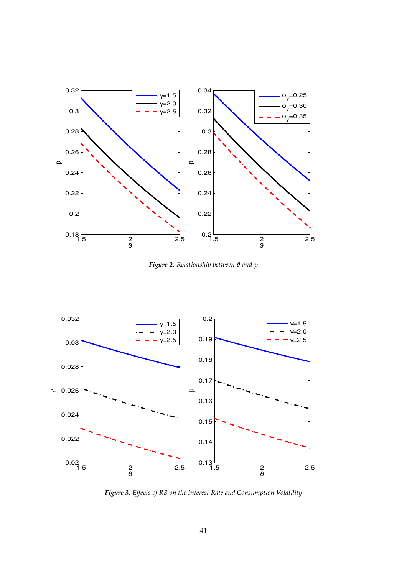

*Figure 2. Relationship between ϑ and p*



*Figure 3. Effects of RB on the Interest Rate and Consumption Volatility*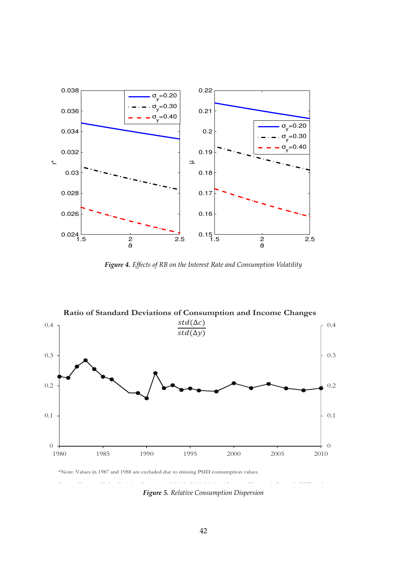![](_page_43_Figure_0.jpeg)

*Figure 4. Effects of RB on the Interest Rate and Consumption Volatility*

![](_page_43_Figure_2.jpeg)

\*Note: Values in 1987 and 1988 are excluded due to missing PSID consumption values.

*Figure 5. Relative Consumption Dispersion*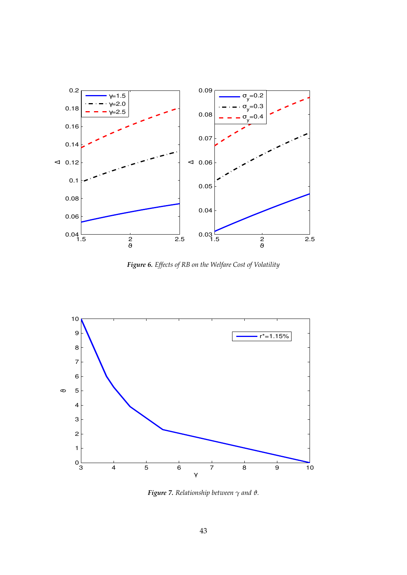![](_page_44_Figure_0.jpeg)

*Figure 6. Effects of RB on the Welfare Cost of Volatility*

![](_page_44_Figure_2.jpeg)

*Figure 7. Relationship between γ and ϑ.*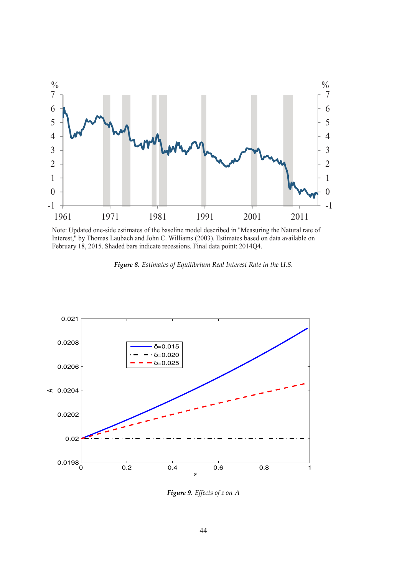![](_page_45_Figure_0.jpeg)

Note: Updated one-side estimates of the baseline model described in "Measuring the Natural rate of Interest," by Thomas Laubach and John C. Williams (2003). Estimates based on data available on February 18, 2015. Shaded bars indicate recessions. Final data point: 2014Q4.

![](_page_45_Figure_2.jpeg)

![](_page_45_Figure_3.jpeg)

*Figure 9. Effects of ε on A*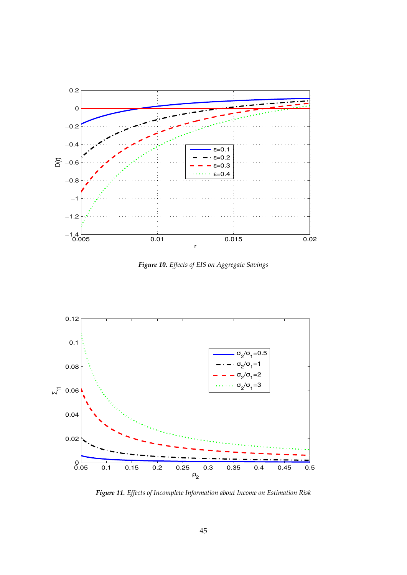![](_page_46_Figure_0.jpeg)

*Figure 10. Effects of EIS on Aggregate Savings*

![](_page_46_Figure_2.jpeg)

*Figure 11. Effects of Incomplete Information about Income on Estimation Risk*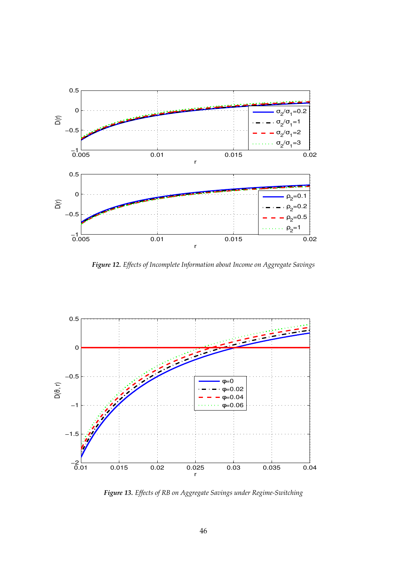![](_page_47_Figure_0.jpeg)

*Figure 12. Effects of Incomplete Information about Income on Aggregate Savings*

![](_page_47_Figure_2.jpeg)

*Figure 13. Effects of RB on Aggregate Savings under Regime-Switching*